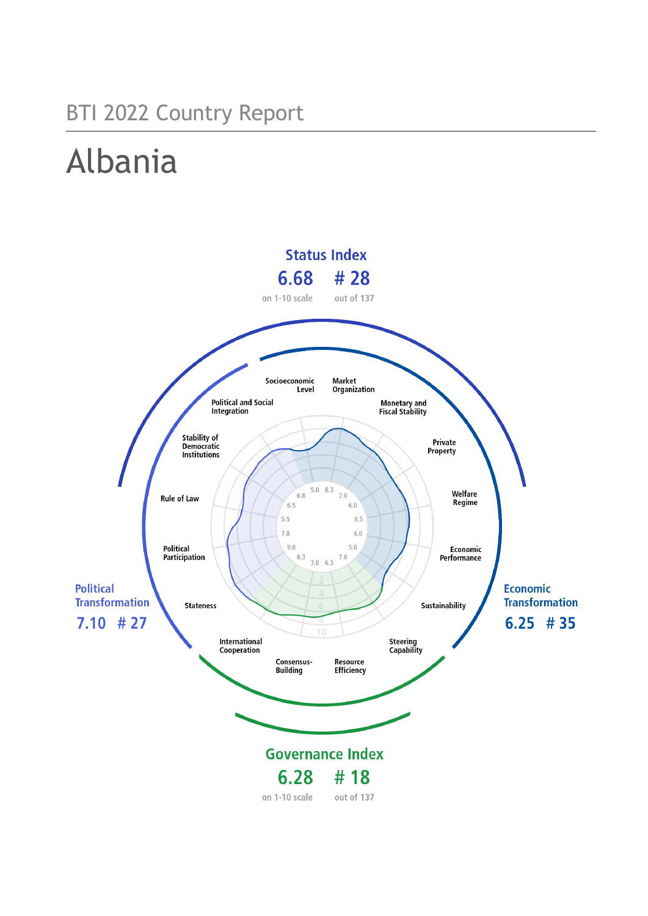## BTI 2022 Country Report

# Albania

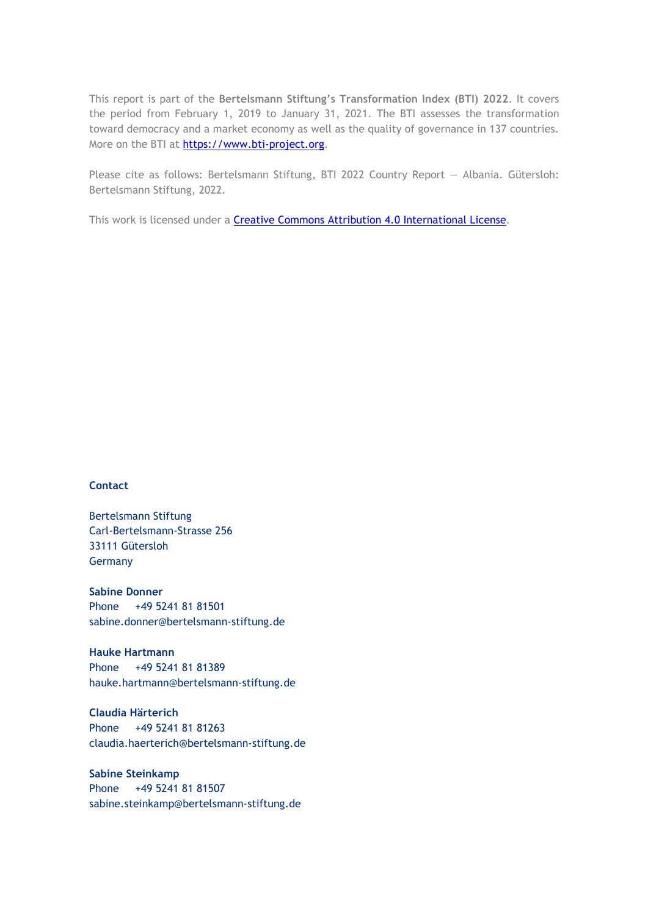This report is part of the **Bertelsmann Stiftung's Transformation Index (BTI) 2022**. It covers the period from February 1, 2019 to January 31, 2021. The BTI assesses the transformation toward democracy and a market economy as well as the quality of governance in 137 countries. More on the BTI at [https://www.bti-project.org.](https://www.bti-project.org/)

Please cite as follows: Bertelsmann Stiftung, BTI 2022 Country Report — Albania. Gütersloh: Bertelsmann Stiftung, 2022.

This work is licensed under a **Creative Commons Attribution 4.0 International License**.

#### **Contact**

Bertelsmann Stiftung Carl-Bertelsmann-Strasse 256 33111 Gütersloh Germany

**Sabine Donner** Phone +49 5241 81 81501 sabine.donner@bertelsmann-stiftung.de

**Hauke Hartmann** Phone +49 5241 81 81389 hauke.hartmann@bertelsmann-stiftung.de

**Claudia Härterich** Phone +49 5241 81 81263 claudia.haerterich@bertelsmann-stiftung.de

#### **Sabine Steinkamp** Phone +49 5241 81 81507 sabine.steinkamp@bertelsmann-stiftung.de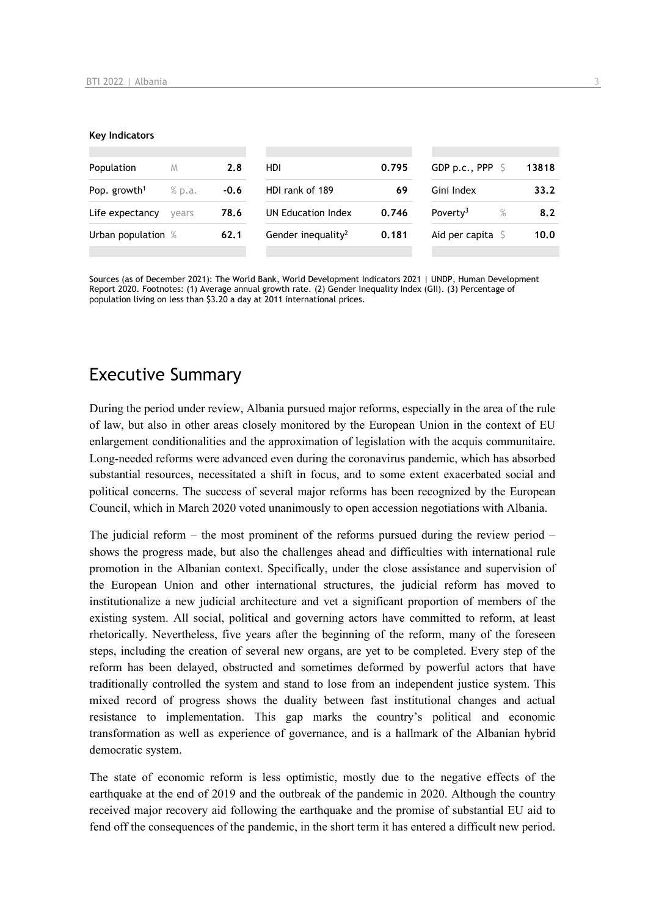#### **Key Indicators**

| Population               | M      | 2.8    | HDI                            | 0.795 | GDP p.c., PPP $\ S$  |   | 13818 |
|--------------------------|--------|--------|--------------------------------|-------|----------------------|---|-------|
| Pop. growth <sup>1</sup> | % p.a. | $-0.6$ | HDI rank of 189                | 69    | Gini Index           |   | 33.2  |
| Life expectancy          | vears  | 78.6   | UN Education Index             | 0.746 | Poverty <sup>3</sup> | % | 8.2   |
| Urban population %       |        | 62.1   | Gender inequality <sup>2</sup> | 0.181 | Aid per capita       |   | 10.0  |
|                          |        |        |                                |       |                      |   |       |

Sources (as of December 2021): The World Bank, World Development Indicators 2021 | UNDP, Human Development Report 2020. Footnotes: (1) Average annual growth rate. (2) Gender Inequality Index (GII). (3) Percentage of population living on less than \$3.20 a day at 2011 international prices.

## Executive Summary

During the period under review, Albania pursued major reforms, especially in the area of the rule of law, but also in other areas closely monitored by the European Union in the context of EU enlargement conditionalities and the approximation of legislation with the acquis communitaire. Long-needed reforms were advanced even during the coronavirus pandemic, which has absorbed substantial resources, necessitated a shift in focus, and to some extent exacerbated social and political concerns. The success of several major reforms has been recognized by the European Council, which in March 2020 voted unanimously to open accession negotiations with Albania.

The judicial reform – the most prominent of the reforms pursued during the review period – shows the progress made, but also the challenges ahead and difficulties with international rule promotion in the Albanian context. Specifically, under the close assistance and supervision of the European Union and other international structures, the judicial reform has moved to institutionalize a new judicial architecture and vet a significant proportion of members of the existing system. All social, political and governing actors have committed to reform, at least rhetorically. Nevertheless, five years after the beginning of the reform, many of the foreseen steps, including the creation of several new organs, are yet to be completed. Every step of the reform has been delayed, obstructed and sometimes deformed by powerful actors that have traditionally controlled the system and stand to lose from an independent justice system. This mixed record of progress shows the duality between fast institutional changes and actual resistance to implementation. This gap marks the country's political and economic transformation as well as experience of governance, and is a hallmark of the Albanian hybrid democratic system.

The state of economic reform is less optimistic, mostly due to the negative effects of the earthquake at the end of 2019 and the outbreak of the pandemic in 2020. Although the country received major recovery aid following the earthquake and the promise of substantial EU aid to fend off the consequences of the pandemic, in the short term it has entered a difficult new period.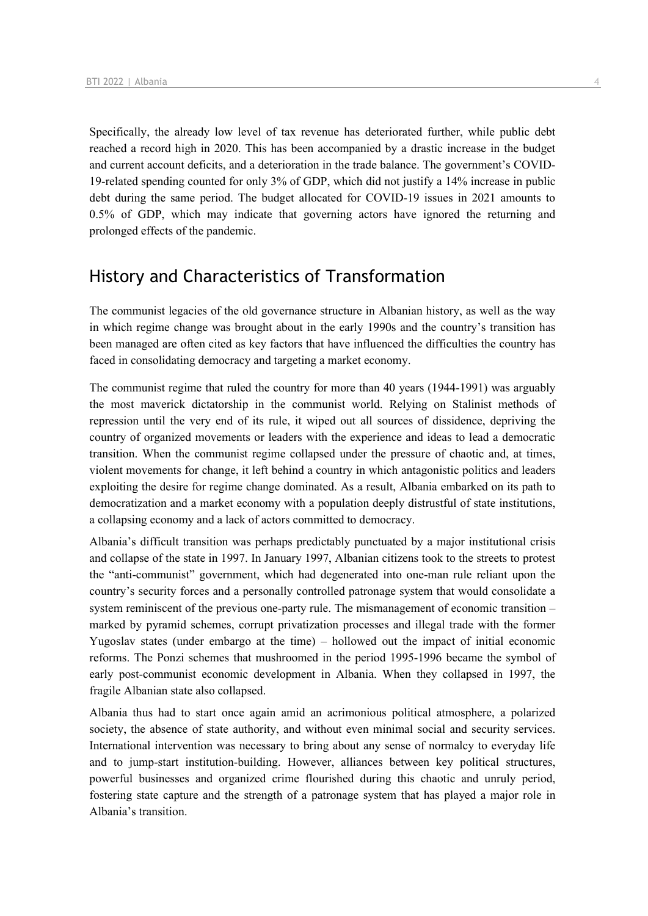Specifically, the already low level of tax revenue has deteriorated further, while public debt reached a record high in 2020. This has been accompanied by a drastic increase in the budget and current account deficits, and a deterioration in the trade balance. The government's COVID-19-related spending counted for only 3% of GDP, which did not justify a 14% increase in public debt during the same period. The budget allocated for COVID-19 issues in 2021 amounts to 0.5% of GDP, which may indicate that governing actors have ignored the returning and prolonged effects of the pandemic.

## History and Characteristics of Transformation

The communist legacies of the old governance structure in Albanian history, as well as the way in which regime change was brought about in the early 1990s and the country's transition has been managed are often cited as key factors that have influenced the difficulties the country has faced in consolidating democracy and targeting a market economy.

The communist regime that ruled the country for more than 40 years (1944-1991) was arguably the most maverick dictatorship in the communist world. Relying on Stalinist methods of repression until the very end of its rule, it wiped out all sources of dissidence, depriving the country of organized movements or leaders with the experience and ideas to lead a democratic transition. When the communist regime collapsed under the pressure of chaotic and, at times, violent movements for change, it left behind a country in which antagonistic politics and leaders exploiting the desire for regime change dominated. As a result, Albania embarked on its path to democratization and a market economy with a population deeply distrustful of state institutions, a collapsing economy and a lack of actors committed to democracy.

Albania's difficult transition was perhaps predictably punctuated by a major institutional crisis and collapse of the state in 1997. In January 1997, Albanian citizens took to the streets to protest the "anti-communist" government, which had degenerated into one-man rule reliant upon the country's security forces and a personally controlled patronage system that would consolidate a system reminiscent of the previous one-party rule. The mismanagement of economic transition – marked by pyramid schemes, corrupt privatization processes and illegal trade with the former Yugoslav states (under embargo at the time) – hollowed out the impact of initial economic reforms. The Ponzi schemes that mushroomed in the period 1995-1996 became the symbol of early post-communist economic development in Albania. When they collapsed in 1997, the fragile Albanian state also collapsed.

Albania thus had to start once again amid an acrimonious political atmosphere, a polarized society, the absence of state authority, and without even minimal social and security services. International intervention was necessary to bring about any sense of normalcy to everyday life and to jump-start institution-building. However, alliances between key political structures, powerful businesses and organized crime flourished during this chaotic and unruly period, fostering state capture and the strength of a patronage system that has played a major role in Albania's transition.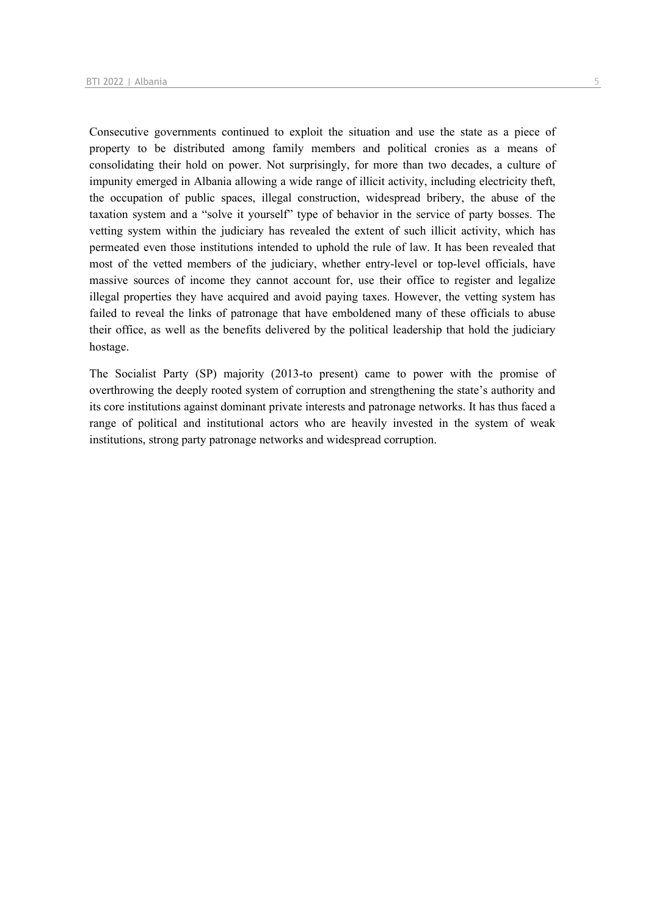Consecutive governments continued to exploit the situation and use the state as a piece of property to be distributed among family members and political cronies as a means of consolidating their hold on power. Not surprisingly, for more than two decades, a culture of impunity emerged in Albania allowing a wide range of illicit activity, including electricity theft, the occupation of public spaces, illegal construction, widespread bribery, the abuse of the taxation system and a "solve it yourself" type of behavior in the service of party bosses. The vetting system within the judiciary has revealed the extent of such illicit activity, which has permeated even those institutions intended to uphold the rule of law. It has been revealed that most of the vetted members of the judiciary, whether entry-level or top-level officials, have massive sources of income they cannot account for, use their office to register and legalize illegal properties they have acquired and avoid paying taxes. However, the vetting system has failed to reveal the links of patronage that have emboldened many of these officials to abuse their office, as well as the benefits delivered by the political leadership that hold the judiciary hostage.

The Socialist Party (SP) majority (2013-to present) came to power with the promise of overthrowing the deeply rooted system of corruption and strengthening the state's authority and its core institutions against dominant private interests and patronage networks. It has thus faced a range of political and institutional actors who are heavily invested in the system of weak institutions, strong party patronage networks and widespread corruption.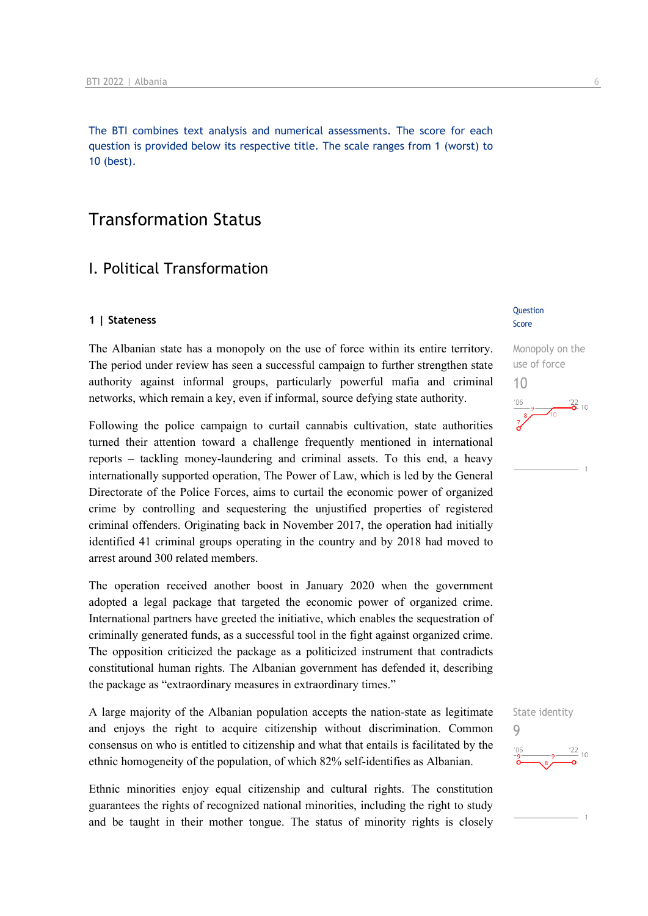The BTI combines text analysis and numerical assessments. The score for each question is provided below its respective title. The scale ranges from 1 (worst) to 10 (best).

## Transformation Status

## I. Political Transformation

#### **1 | Stateness**

The Albanian state has a monopoly on the use of force within its entire territory. The period under review has seen a successful campaign to further strengthen state authority against informal groups, particularly powerful mafia and criminal networks, which remain a key, even if informal, source defying state authority.

Following the police campaign to curtail cannabis cultivation, state authorities turned their attention toward a challenge frequently mentioned in international reports – tackling money-laundering and criminal assets. To this end, a heavy internationally supported operation, The Power of Law, which is led by the General Directorate of the Police Forces, aims to curtail the economic power of organized crime by controlling and sequestering the unjustified properties of registered criminal offenders. Originating back in November 2017, the operation had initially identified 41 criminal groups operating in the country and by 2018 had moved to arrest around 300 related members.

The operation received another boost in January 2020 when the government adopted a legal package that targeted the economic power of organized crime. International partners have greeted the initiative, which enables the sequestration of criminally generated funds, as a successful tool in the fight against organized crime. The opposition criticized the package as a politicized instrument that contradicts constitutional human rights. The Albanian government has defended it, describing the package as "extraordinary measures in extraordinary times."

A large majority of the Albanian population accepts the nation-state as legitimate and enjoys the right to acquire citizenship without discrimination. Common consensus on who is entitled to citizenship and what that entails is facilitated by the ethnic homogeneity of the population, of which 82% self-identifies as Albanian.

Ethnic minorities enjoy equal citizenship and cultural rights. The constitution guarantees the rights of recognized national minorities, including the right to study and be taught in their mother tongue. The status of minority rights is closely

#### Question Score

Monopoly on the use of force 10  $\frac{22}{6}$  10

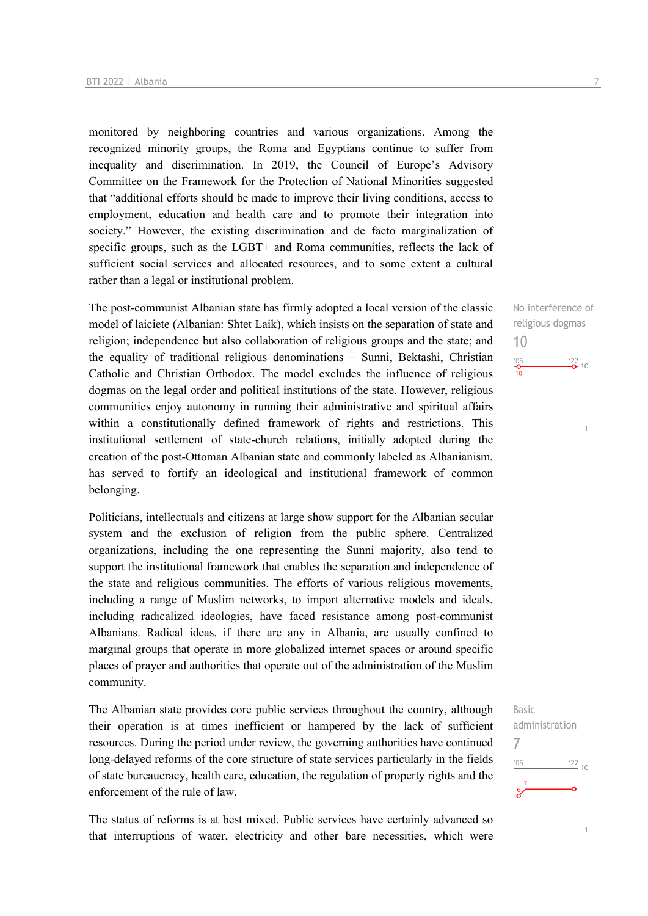monitored by neighboring countries and various organizations. Among the recognized minority groups, the Roma and Egyptians continue to suffer from inequality and discrimination. In 2019, the Council of Europe's Advisory Committee on the Framework for the Protection of National Minorities suggested that "additional efforts should be made to improve their living conditions, access to employment, education and health care and to promote their integration into society." However, the existing discrimination and de facto marginalization of specific groups, such as the LGBT+ and Roma communities, reflects the lack of sufficient social services and allocated resources, and to some extent a cultural rather than a legal or institutional problem.

The post-communist Albanian state has firmly adopted a local version of the classic model of laiciete (Albanian: Shtet Laik), which insists on the separation of state and religion; independence but also collaboration of religious groups and the state; and the equality of traditional religious denominations – Sunni, Bektashi, Christian Catholic and Christian Orthodox. The model excludes the influence of religious dogmas on the legal order and political institutions of the state. However, religious communities enjoy autonomy in running their administrative and spiritual affairs within a constitutionally defined framework of rights and restrictions. This institutional settlement of state-church relations, initially adopted during the creation of the post-Ottoman Albanian state and commonly labeled as Albanianism, has served to fortify an ideological and institutional framework of common belonging.

Politicians, intellectuals and citizens at large show support for the Albanian secular system and the exclusion of religion from the public sphere. Centralized organizations, including the one representing the Sunni majority, also tend to support the institutional framework that enables the separation and independence of the state and religious communities. The efforts of various religious movements, including a range of Muslim networks, to import alternative models and ideals, including radicalized ideologies, have faced resistance among post-communist Albanians. Radical ideas, if there are any in Albania, are usually confined to marginal groups that operate in more globalized internet spaces or around specific places of prayer and authorities that operate out of the administration of the Muslim community.

The Albanian state provides core public services throughout the country, although their operation is at times inefficient or hampered by the lack of sufficient resources. During the period under review, the governing authorities have continued long-delayed reforms of the core structure of state services particularly in the fields of state bureaucracy, health care, education, the regulation of property rights and the enforcement of the rule of law.

The status of reforms is at best mixed. Public services have certainly advanced so that interruptions of water, electricity and other bare necessities, which were

No interference of religious dogmas 10  $\frac{106}{10}$  $\frac{22}{2}$  10

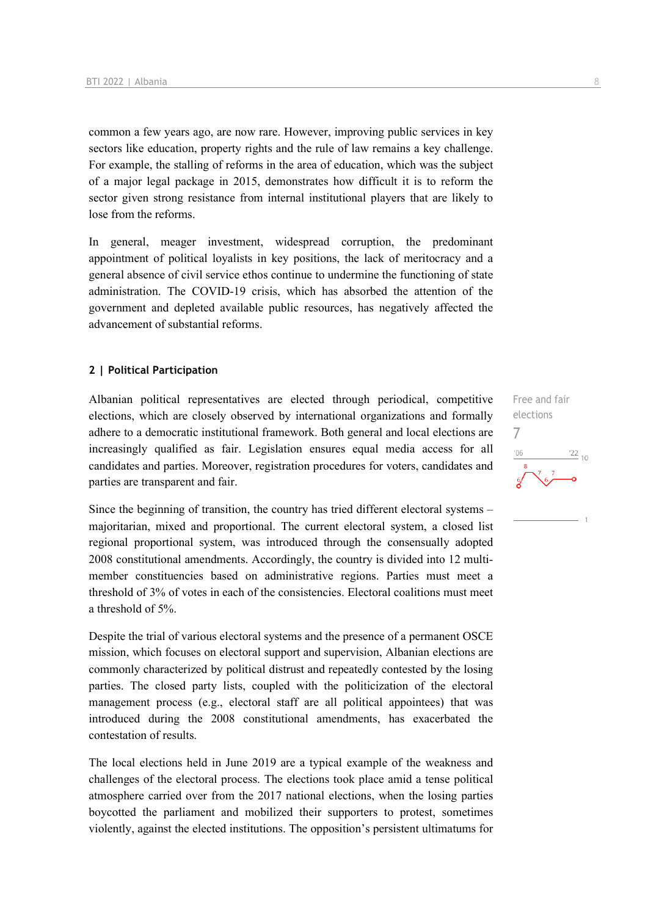common a few years ago, are now rare. However, improving public services in key sectors like education, property rights and the rule of law remains a key challenge. For example, the stalling of reforms in the area of education, which was the subject of a major legal package in 2015, demonstrates how difficult it is to reform the sector given strong resistance from internal institutional players that are likely to lose from the reforms.

In general, meager investment, widespread corruption, the predominant appointment of political loyalists in key positions, the lack of meritocracy and a general absence of civil service ethos continue to undermine the functioning of state administration. The COVID-19 crisis, which has absorbed the attention of the government and depleted available public resources, has negatively affected the advancement of substantial reforms.

#### **2 | Political Participation**

Albanian political representatives are elected through periodical, competitive elections, which are closely observed by international organizations and formally adhere to a democratic institutional framework. Both general and local elections are increasingly qualified as fair. Legislation ensures equal media access for all candidates and parties. Moreover, registration procedures for voters, candidates and parties are transparent and fair.

Since the beginning of transition, the country has tried different electoral systems – majoritarian, mixed and proportional. The current electoral system, a closed list regional proportional system, was introduced through the consensually adopted 2008 constitutional amendments. Accordingly, the country is divided into 12 multimember constituencies based on administrative regions. Parties must meet a threshold of 3% of votes in each of the consistencies. Electoral coalitions must meet a threshold of 5%.

Despite the trial of various electoral systems and the presence of a permanent OSCE mission, which focuses on electoral support and supervision, Albanian elections are commonly characterized by political distrust and repeatedly contested by the losing parties. The closed party lists, coupled with the politicization of the electoral management process (e.g., electoral staff are all political appointees) that was introduced during the 2008 constitutional amendments, has exacerbated the contestation of results.

The local elections held in June 2019 are a typical example of the weakness and challenges of the electoral process. The elections took place amid a tense political atmosphere carried over from the 2017 national elections, when the losing parties boycotted the parliament and mobilized their supporters to protest, sometimes violently, against the elected institutions. The opposition's persistent ultimatums for

Free and fair elections 7 $\frac{22}{10}$  $-06$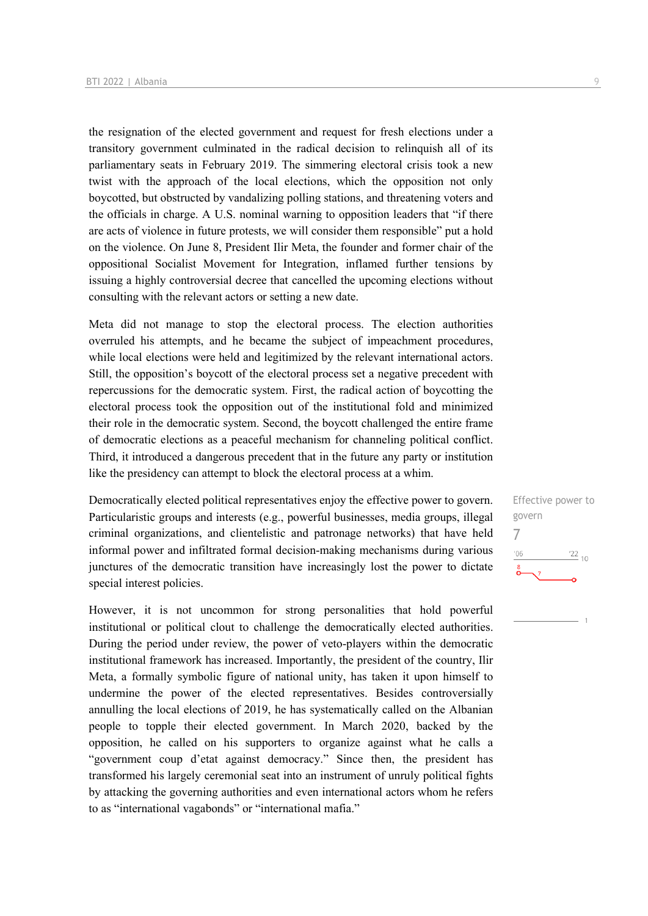the resignation of the elected government and request for fresh elections under a transitory government culminated in the radical decision to relinquish all of its parliamentary seats in February 2019. The simmering electoral crisis took a new twist with the approach of the local elections, which the opposition not only boycotted, but obstructed by vandalizing polling stations, and threatening voters and the officials in charge. A U.S. nominal warning to opposition leaders that "if there are acts of violence in future protests, we will consider them responsible" put a hold on the violence. On June 8, President Ilir Meta, the founder and former chair of the oppositional Socialist Movement for Integration, inflamed further tensions by issuing a highly controversial decree that cancelled the upcoming elections without consulting with the relevant actors or setting a new date.

Meta did not manage to stop the electoral process. The election authorities overruled his attempts, and he became the subject of impeachment procedures, while local elections were held and legitimized by the relevant international actors. Still, the opposition's boycott of the electoral process set a negative precedent with repercussions for the democratic system. First, the radical action of boycotting the electoral process took the opposition out of the institutional fold and minimized their role in the democratic system. Second, the boycott challenged the entire frame of democratic elections as a peaceful mechanism for channeling political conflict. Third, it introduced a dangerous precedent that in the future any party or institution like the presidency can attempt to block the electoral process at a whim.

Democratically elected political representatives enjoy the effective power to govern. Particularistic groups and interests (e.g., powerful businesses, media groups, illegal criminal organizations, and clientelistic and patronage networks) that have held informal power and infiltrated formal decision-making mechanisms during various junctures of the democratic transition have increasingly lost the power to dictate special interest policies.

However, it is not uncommon for strong personalities that hold powerful institutional or political clout to challenge the democratically elected authorities. During the period under review, the power of veto-players within the democratic institutional framework has increased. Importantly, the president of the country, Ilir Meta, a formally symbolic figure of national unity, has taken it upon himself to undermine the power of the elected representatives. Besides controversially annulling the local elections of 2019, he has systematically called on the Albanian people to topple their elected government. In March 2020, backed by the opposition, he called on his supporters to organize against what he calls a "government coup d'etat against democracy." Since then, the president has transformed his largely ceremonial seat into an instrument of unruly political fights by attacking the governing authorities and even international actors whom he refers to as "international vagabonds" or "international mafia."

Effective power to govern 7 $\frac{22}{10}$  $-06$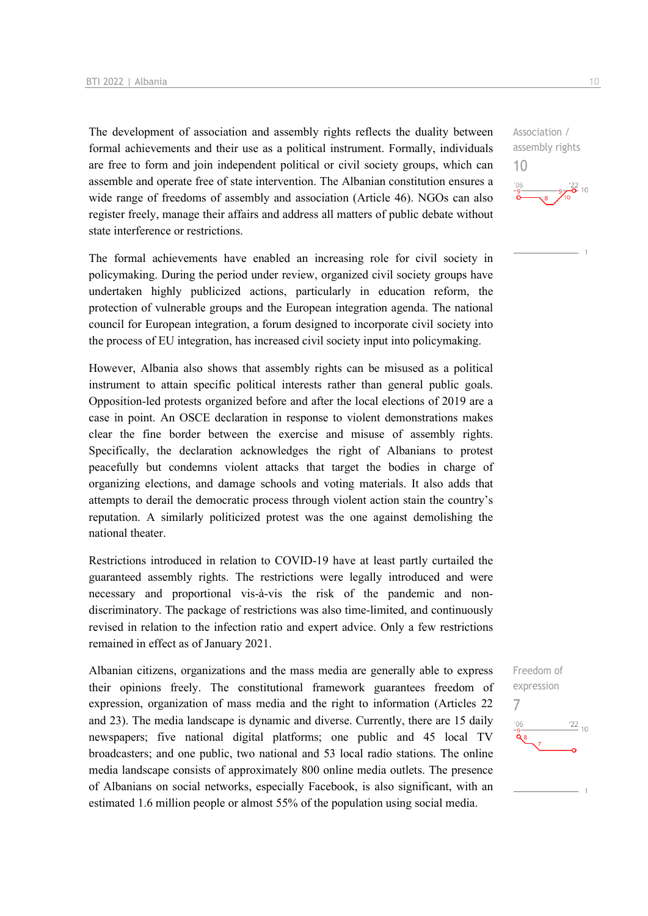The development of association and assembly rights reflects the duality between formal achievements and their use as a political instrument. Formally, individuals are free to form and join independent political or civil society groups, which can assemble and operate free of state intervention. The Albanian constitution ensures a wide range of freedoms of assembly and association (Article 46). NGOs can also register freely, manage their affairs and address all matters of public debate without state interference or restrictions.

The formal achievements have enabled an increasing role for civil society in policymaking. During the period under review, organized civil society groups have undertaken highly publicized actions, particularly in education reform, the protection of vulnerable groups and the European integration agenda. The national council for European integration, a forum designed to incorporate civil society into the process of EU integration, has increased civil society input into policymaking.

However, Albania also shows that assembly rights can be misused as a political instrument to attain specific political interests rather than general public goals. Opposition-led protests organized before and after the local elections of 2019 are a case in point. An OSCE declaration in response to violent demonstrations makes clear the fine border between the exercise and misuse of assembly rights. Specifically, the declaration acknowledges the right of Albanians to protest peacefully but condemns violent attacks that target the bodies in charge of organizing elections, and damage schools and voting materials. It also adds that attempts to derail the democratic process through violent action stain the country's reputation. A similarly politicized protest was the one against demolishing the national theater.

Restrictions introduced in relation to COVID-19 have at least partly curtailed the guaranteed assembly rights. The restrictions were legally introduced and were necessary and proportional vis-à-vis the risk of the pandemic and nondiscriminatory. The package of restrictions was also time-limited, and continuously revised in relation to the infection ratio and expert advice. Only a few restrictions remained in effect as of January 2021.

Albanian citizens, organizations and the mass media are generally able to express their opinions freely. The constitutional framework guarantees freedom of expression, organization of mass media and the right to information (Articles 22 and 23). The media landscape is dynamic and diverse. Currently, there are 15 daily newspapers; five national digital platforms; one public and 45 local TV broadcasters; and one public, two national and 53 local radio stations. The online media landscape consists of approximately 800 online media outlets. The presence of Albanians on social networks, especially Facebook, is also significant, with an estimated 1.6 million people or almost 55% of the population using social media.

Freedom of expression 7 $\frac{22}{10}$  $-06$ Ō۹

assembly rights 10  $\frac{22}{6}$  10

Association /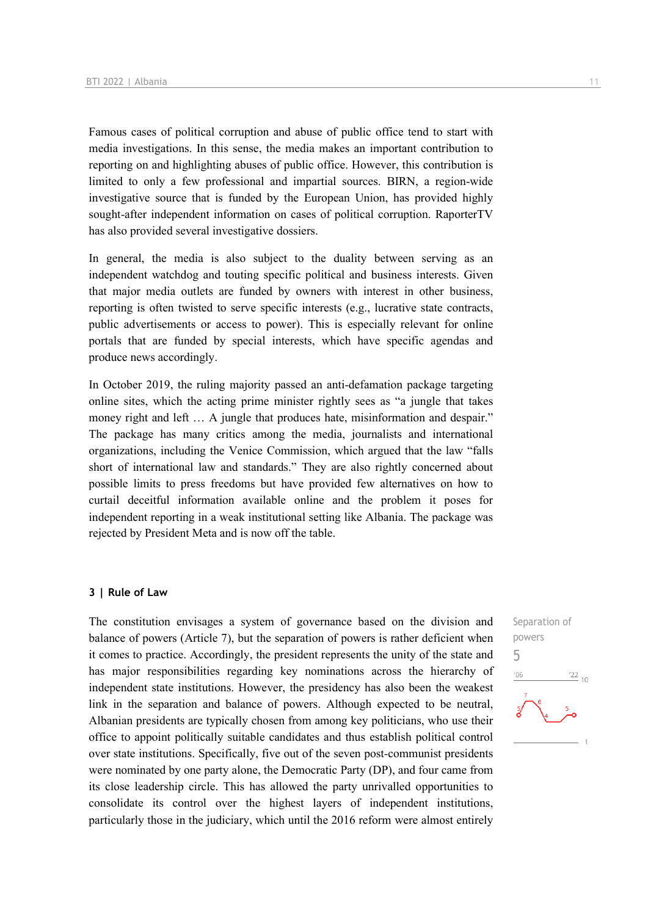Famous cases of political corruption and abuse of public office tend to start with media investigations. In this sense, the media makes an important contribution to reporting on and highlighting abuses of public office. However, this contribution is limited to only a few professional and impartial sources. BIRN, a region-wide investigative source that is funded by the European Union, has provided highly sought-after independent information on cases of political corruption. RaporterTV has also provided several investigative dossiers.

In general, the media is also subject to the duality between serving as an independent watchdog and touting specific political and business interests. Given that major media outlets are funded by owners with interest in other business, reporting is often twisted to serve specific interests (e.g., lucrative state contracts, public advertisements or access to power). This is especially relevant for online portals that are funded by special interests, which have specific agendas and produce news accordingly.

In October 2019, the ruling majority passed an anti-defamation package targeting online sites, which the acting prime minister rightly sees as "a jungle that takes money right and left ... A jungle that produces hate, misinformation and despair." The package has many critics among the media, journalists and international organizations, including the Venice Commission, which argued that the law "falls short of international law and standards." They are also rightly concerned about possible limits to press freedoms but have provided few alternatives on how to curtail deceitful information available online and the problem it poses for independent reporting in a weak institutional setting like Albania. The package was rejected by President Meta and is now off the table.

#### **3 | Rule of Law**

The constitution envisages a system of governance based on the division and balance of powers (Article 7), but the separation of powers is rather deficient when it comes to practice. Accordingly, the president represents the unity of the state and has major responsibilities regarding key nominations across the hierarchy of independent state institutions. However, the presidency has also been the weakest link in the separation and balance of powers. Although expected to be neutral, Albanian presidents are typically chosen from among key politicians, who use their office to appoint politically suitable candidates and thus establish political control over state institutions. Specifically, five out of the seven post-communist presidents were nominated by one party alone, the Democratic Party (DP), and four came from its close leadership circle. This has allowed the party unrivalled opportunities to consolidate its control over the highest layers of independent institutions, particularly those in the judiciary, which until the 2016 reform were almost entirely

Separation of powers 5

 $'06$ 

 $\frac{22}{10}$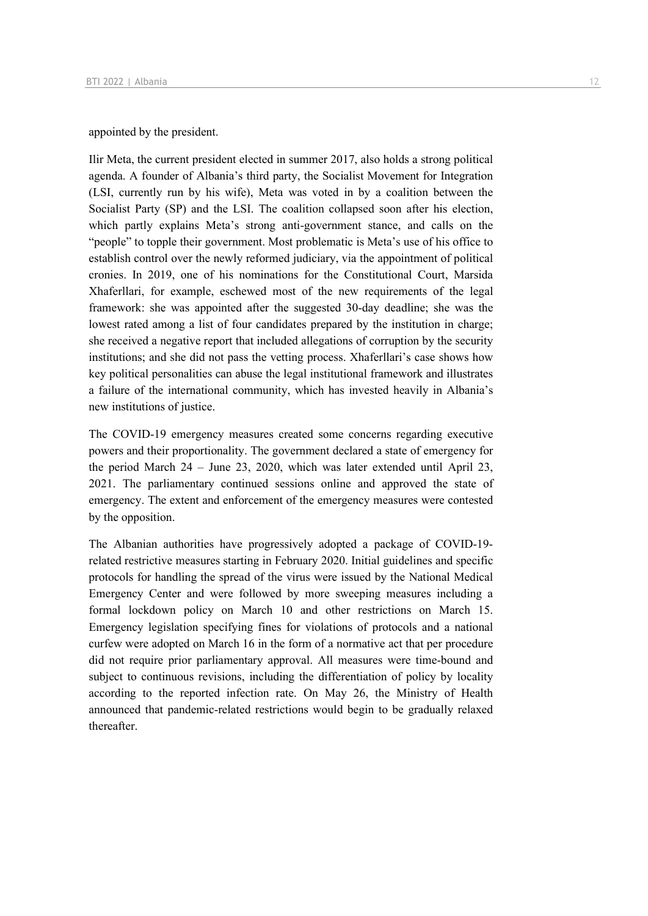#### appointed by the president.

Ilir Meta, the current president elected in summer 2017, also holds a strong political agenda. A founder of Albania's third party, the Socialist Movement for Integration (LSI, currently run by his wife), Meta was voted in by a coalition between the Socialist Party (SP) and the LSI. The coalition collapsed soon after his election, which partly explains Meta's strong anti-government stance, and calls on the "people" to topple their government. Most problematic is Meta's use of his office to establish control over the newly reformed judiciary, via the appointment of political cronies. In 2019, one of his nominations for the Constitutional Court, Marsida Xhaferllari, for example, eschewed most of the new requirements of the legal framework: she was appointed after the suggested 30-day deadline; she was the lowest rated among a list of four candidates prepared by the institution in charge; she received a negative report that included allegations of corruption by the security institutions; and she did not pass the vetting process. Xhaferllari's case shows how key political personalities can abuse the legal institutional framework and illustrates a failure of the international community, which has invested heavily in Albania's new institutions of justice.

The COVID-19 emergency measures created some concerns regarding executive powers and their proportionality. The government declared a state of emergency for the period March 24 – June 23, 2020, which was later extended until April 23, 2021. The parliamentary continued sessions online and approved the state of emergency. The extent and enforcement of the emergency measures were contested by the opposition.

The Albanian authorities have progressively adopted a package of COVID-19 related restrictive measures starting in February 2020. Initial guidelines and specific protocols for handling the spread of the virus were issued by the National Medical Emergency Center and were followed by more sweeping measures including a formal lockdown policy on March 10 and other restrictions on March 15. Emergency legislation specifying fines for violations of protocols and a national curfew were adopted on March 16 in the form of a normative act that per procedure did not require prior parliamentary approval. All measures were time-bound and subject to continuous revisions, including the differentiation of policy by locality according to the reported infection rate. On May 26, the Ministry of Health announced that pandemic-related restrictions would begin to be gradually relaxed thereafter.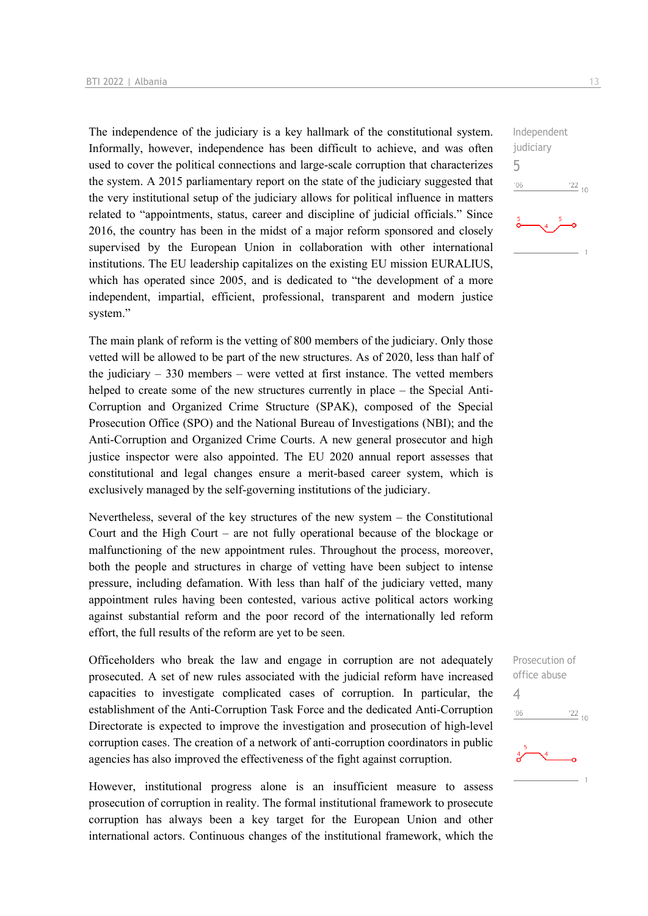The independence of the judiciary is a key hallmark of the constitutional system. Informally, however, independence has been difficult to achieve, and was often used to cover the political connections and large-scale corruption that characterizes the system. A 2015 parliamentary report on the state of the judiciary suggested that the very institutional setup of the judiciary allows for political influence in matters related to "appointments, status, career and discipline of judicial officials." Since 2016, the country has been in the midst of a major reform sponsored and closely supervised by the European Union in collaboration with other international institutions. The EU leadership capitalizes on the existing EU mission EURALIUS, which has operated since 2005, and is dedicated to "the development of a more independent, impartial, efficient, professional, transparent and modern justice system."

The main plank of reform is the vetting of 800 members of the judiciary. Only those vetted will be allowed to be part of the new structures. As of 2020, less than half of the judiciary – 330 members – were vetted at first instance. The vetted members helped to create some of the new structures currently in place – the Special Anti-Corruption and Organized Crime Structure (SPAK), composed of the Special Prosecution Office (SPO) and the National Bureau of Investigations (NBI); and the Anti-Corruption and Organized Crime Courts. A new general prosecutor and high justice inspector were also appointed. The EU 2020 annual report assesses that constitutional and legal changes ensure a merit-based career system, which is exclusively managed by the self-governing institutions of the judiciary.

Nevertheless, several of the key structures of the new system – the Constitutional Court and the High Court – are not fully operational because of the blockage or malfunctioning of the new appointment rules. Throughout the process, moreover, both the people and structures in charge of vetting have been subject to intense pressure, including defamation. With less than half of the judiciary vetted, many appointment rules having been contested, various active political actors working against substantial reform and the poor record of the internationally led reform effort, the full results of the reform are yet to be seen.

Officeholders who break the law and engage in corruption are not adequately prosecuted. A set of new rules associated with the judicial reform have increased capacities to investigate complicated cases of corruption. In particular, the establishment of the Anti-Corruption Task Force and the dedicated Anti-Corruption Directorate is expected to improve the investigation and prosecution of high-level corruption cases. The creation of a network of anti-corruption coordinators in public agencies has also improved the effectiveness of the fight against corruption.

However, institutional progress alone is an insufficient measure to assess prosecution of corruption in reality. The formal institutional framework to prosecute corruption has always been a key target for the European Union and other international actors. Continuous changes of the institutional framework, which the

Independent judiciary 5  $-06$  $\frac{22}{10}$ 

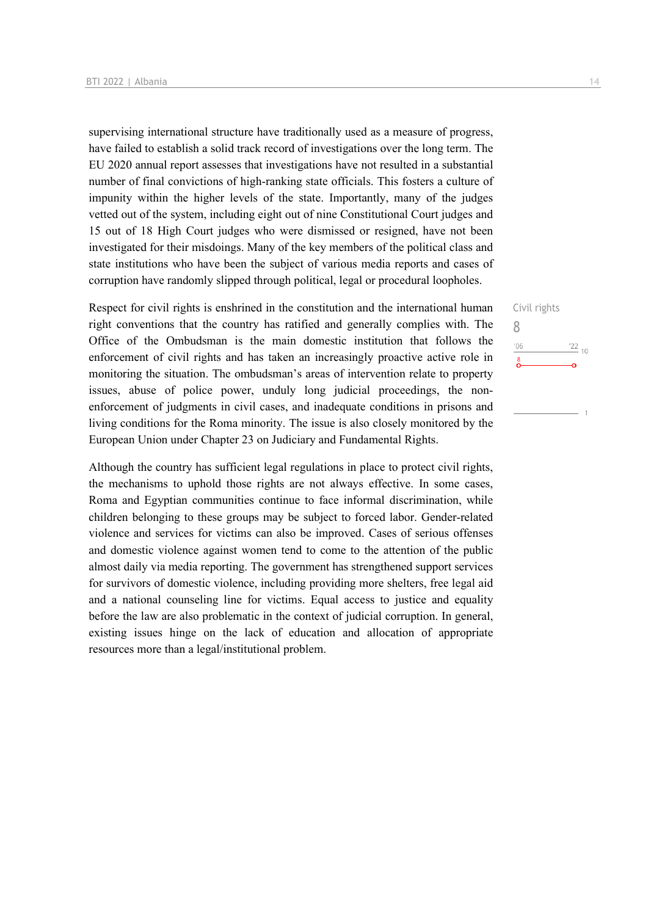supervising international structure have traditionally used as a measure of progress, have failed to establish a solid track record of investigations over the long term. The EU 2020 annual report assesses that investigations have not resulted in a substantial number of final convictions of high-ranking state officials. This fosters a culture of impunity within the higher levels of the state. Importantly, many of the judges vetted out of the system, including eight out of nine Constitutional Court judges and 15 out of 18 High Court judges who were dismissed or resigned, have not been investigated for their misdoings. Many of the key members of the political class and state institutions who have been the subject of various media reports and cases of corruption have randomly slipped through political, legal or procedural loopholes.

Respect for civil rights is enshrined in the constitution and the international human right conventions that the country has ratified and generally complies with. The Office of the Ombudsman is the main domestic institution that follows the enforcement of civil rights and has taken an increasingly proactive active role in monitoring the situation. The ombudsman's areas of intervention relate to property issues, abuse of police power, unduly long judicial proceedings, the nonenforcement of judgments in civil cases, and inadequate conditions in prisons and living conditions for the Roma minority. The issue is also closely monitored by the European Union under Chapter 23 on Judiciary and Fundamental Rights.

Although the country has sufficient legal regulations in place to protect civil rights, the mechanisms to uphold those rights are not always effective. In some cases, Roma and Egyptian communities continue to face informal discrimination, while children belonging to these groups may be subject to forced labor. Gender-related violence and services for victims can also be improved. Cases of serious offenses and domestic violence against women tend to come to the attention of the public almost daily via media reporting. The government has strengthened support services for survivors of domestic violence, including providing more shelters, free legal aid and a national counseling line for victims. Equal access to justice and equality before the law are also problematic in the context of judicial corruption. In general, existing issues hinge on the lack of education and allocation of appropriate resources more than a legal/institutional problem.

Civil rights 8 $^{\prime}06$  $\frac{22}{10}$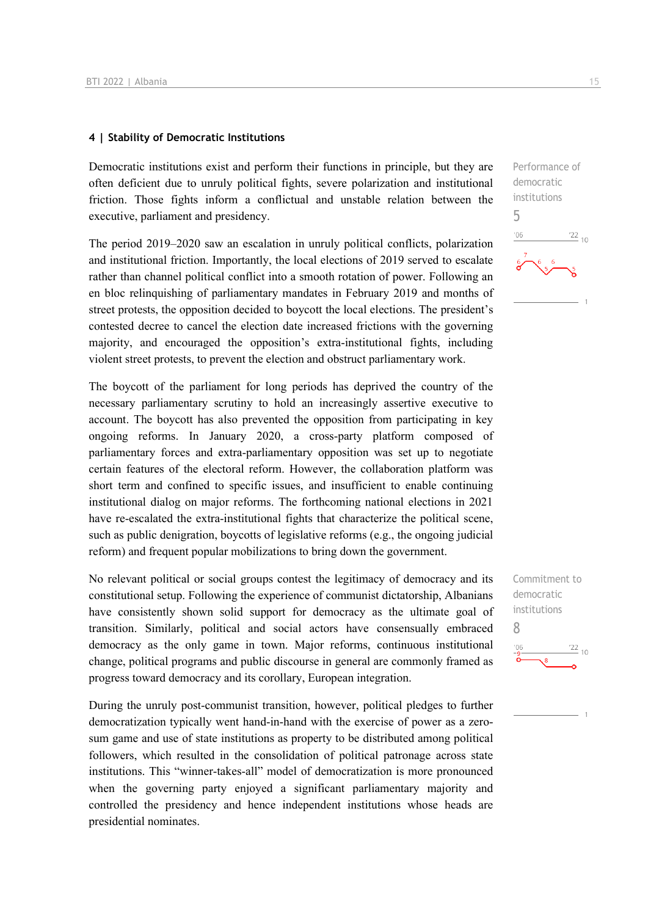#### **4 | Stability of Democratic Institutions**

Democratic institutions exist and perform their functions in principle, but they are often deficient due to unruly political fights, severe polarization and institutional friction. Those fights inform a conflictual and unstable relation between the executive, parliament and presidency.

The period 2019–2020 saw an escalation in unruly political conflicts, polarization and institutional friction. Importantly, the local elections of 2019 served to escalate rather than channel political conflict into a smooth rotation of power. Following an en bloc relinquishing of parliamentary mandates in February 2019 and months of street protests, the opposition decided to boycott the local elections. The president's contested decree to cancel the election date increased frictions with the governing majority, and encouraged the opposition's extra-institutional fights, including violent street protests, to prevent the election and obstruct parliamentary work.

The boycott of the parliament for long periods has deprived the country of the necessary parliamentary scrutiny to hold an increasingly assertive executive to account. The boycott has also prevented the opposition from participating in key ongoing reforms. In January 2020, a cross-party platform composed of parliamentary forces and extra-parliamentary opposition was set up to negotiate certain features of the electoral reform. However, the collaboration platform was short term and confined to specific issues, and insufficient to enable continuing institutional dialog on major reforms. The forthcoming national elections in 2021 have re-escalated the extra-institutional fights that characterize the political scene, such as public denigration, boycotts of legislative reforms (e.g., the ongoing judicial reform) and frequent popular mobilizations to bring down the government.

No relevant political or social groups contest the legitimacy of democracy and its constitutional setup. Following the experience of communist dictatorship, Albanians have consistently shown solid support for democracy as the ultimate goal of transition. Similarly, political and social actors have consensually embraced democracy as the only game in town. Major reforms, continuous institutional change, political programs and public discourse in general are commonly framed as progress toward democracy and its corollary, European integration.

During the unruly post-communist transition, however, political pledges to further democratization typically went hand-in-hand with the exercise of power as a zerosum game and use of state institutions as property to be distributed among political followers, which resulted in the consolidation of political patronage across state institutions. This "winner-takes-all" model of democratization is more pronounced when the governing party enjoyed a significant parliamentary majority and controlled the presidency and hence independent institutions whose heads are presidential nominates.

Performance of democratic institutions 5  $\frac{22}{10}$  $^{\prime}06$ 

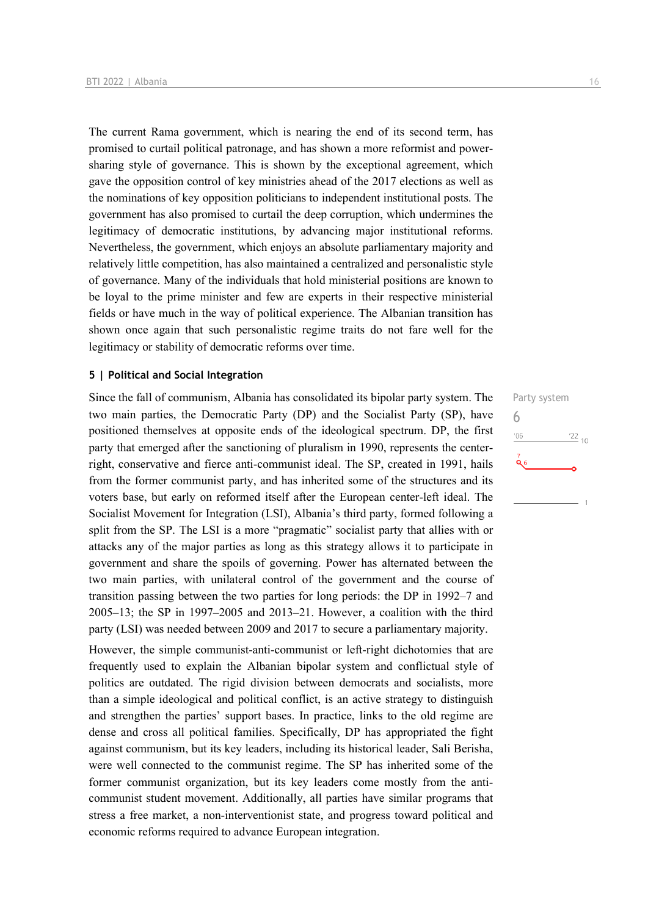The current Rama government, which is nearing the end of its second term, has promised to curtail political patronage, and has shown a more reformist and powersharing style of governance. This is shown by the exceptional agreement, which gave the opposition control of key ministries ahead of the 2017 elections as well as the nominations of key opposition politicians to independent institutional posts. The government has also promised to curtail the deep corruption, which undermines the legitimacy of democratic institutions, by advancing major institutional reforms. Nevertheless, the government, which enjoys an absolute parliamentary majority and relatively little competition, has also maintained a centralized and personalistic style of governance. Many of the individuals that hold ministerial positions are known to be loyal to the prime minister and few are experts in their respective ministerial fields or have much in the way of political experience. The Albanian transition has shown once again that such personalistic regime traits do not fare well for the legitimacy or stability of democratic reforms over time.

#### **5 | Political and Social Integration**

Since the fall of communism, Albania has consolidated its bipolar party system. The two main parties, the Democratic Party (DP) and the Socialist Party (SP), have positioned themselves at opposite ends of the ideological spectrum. DP, the first party that emerged after the sanctioning of pluralism in 1990, represents the centerright, conservative and fierce anti-communist ideal. The SP, created in 1991, hails from the former communist party, and has inherited some of the structures and its voters base, but early on reformed itself after the European center-left ideal. The Socialist Movement for Integration (LSI), Albania's third party, formed following a split from the SP. The LSI is a more "pragmatic" socialist party that allies with or attacks any of the major parties as long as this strategy allows it to participate in government and share the spoils of governing. Power has alternated between the two main parties, with unilateral control of the government and the course of transition passing between the two parties for long periods: the DP in 1992–7 and 2005–13; the SP in 1997–2005 and 2013–21. However, a coalition with the third party (LSI) was needed between 2009 and 2017 to secure a parliamentary majority.

However, the simple communist-anti-communist or left-right dichotomies that are frequently used to explain the Albanian bipolar system and conflictual style of politics are outdated. The rigid division between democrats and socialists, more than a simple ideological and political conflict, is an active strategy to distinguish and strengthen the parties' support bases. In practice, links to the old regime are dense and cross all political families. Specifically, DP has appropriated the fight against communism, but its key leaders, including its historical leader, Sali Berisha, were well connected to the communist regime. The SP has inherited some of the former communist organization, but its key leaders come mostly from the anticommunist student movement. Additionally, all parties have similar programs that stress a free market, a non-interventionist state, and progress toward political and economic reforms required to advance European integration.

Party system 6 $\frac{22}{10}$  $06'$  $\mathbf{Q}_6$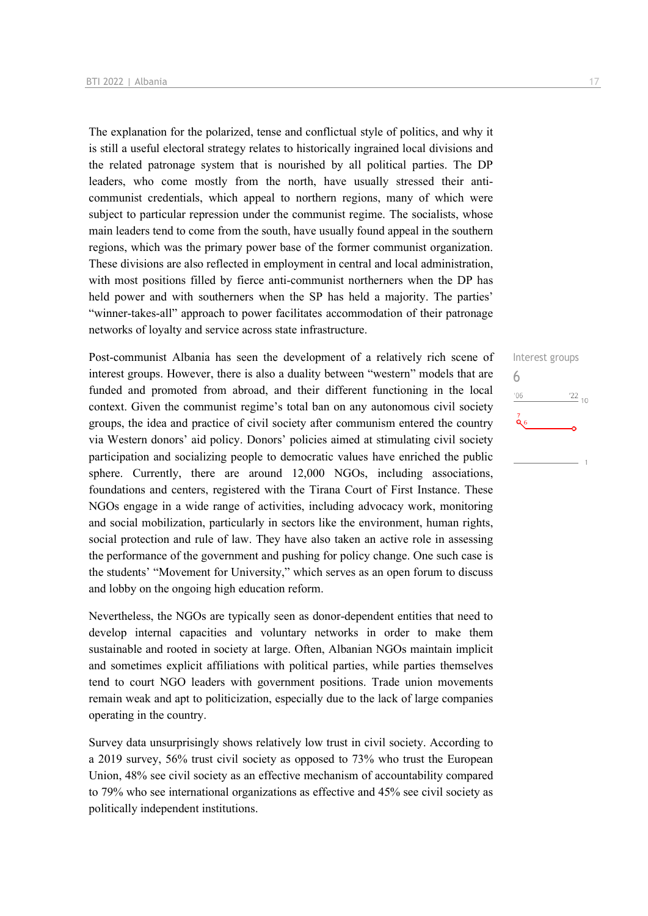The explanation for the polarized, tense and conflictual style of politics, and why it is still a useful electoral strategy relates to historically ingrained local divisions and the related patronage system that is nourished by all political parties. The DP leaders, who come mostly from the north, have usually stressed their anticommunist credentials, which appeal to northern regions, many of which were subject to particular repression under the communist regime. The socialists, whose main leaders tend to come from the south, have usually found appeal in the southern regions, which was the primary power base of the former communist organization. These divisions are also reflected in employment in central and local administration, with most positions filled by fierce anti-communist northerners when the DP has held power and with southerners when the SP has held a majority. The parties' "winner-takes-all" approach to power facilitates accommodation of their patronage networks of loyalty and service across state infrastructure.

Post-communist Albania has seen the development of a relatively rich scene of interest groups. However, there is also a duality between "western" models that are funded and promoted from abroad, and their different functioning in the local context. Given the communist regime's total ban on any autonomous civil society groups, the idea and practice of civil society after communism entered the country via Western donors' aid policy. Donors' policies aimed at stimulating civil society participation and socializing people to democratic values have enriched the public sphere. Currently, there are around 12,000 NGOs, including associations, foundations and centers, registered with the Tirana Court of First Instance. These NGOs engage in a wide range of activities, including advocacy work, monitoring and social mobilization, particularly in sectors like the environment, human rights, social protection and rule of law. They have also taken an active role in assessing the performance of the government and pushing for policy change. One such case is the students' "Movement for University," which serves as an open forum to discuss and lobby on the ongoing high education reform.

Nevertheless, the NGOs are typically seen as donor-dependent entities that need to develop internal capacities and voluntary networks in order to make them sustainable and rooted in society at large. Often, Albanian NGOs maintain implicit and sometimes explicit affiliations with political parties, while parties themselves tend to court NGO leaders with government positions. Trade union movements remain weak and apt to politicization, especially due to the lack of large companies operating in the country.

Survey data unsurprisingly shows relatively low trust in civil society. According to a 2019 survey, 56% trust civil society as opposed to 73% who trust the European Union, 48% see civil society as an effective mechanism of accountability compared to 79% who see international organizations as effective and 45% see civil society as politically independent institutions.

Interest groups

 $\frac{22}{10}$ 

6

 $06'$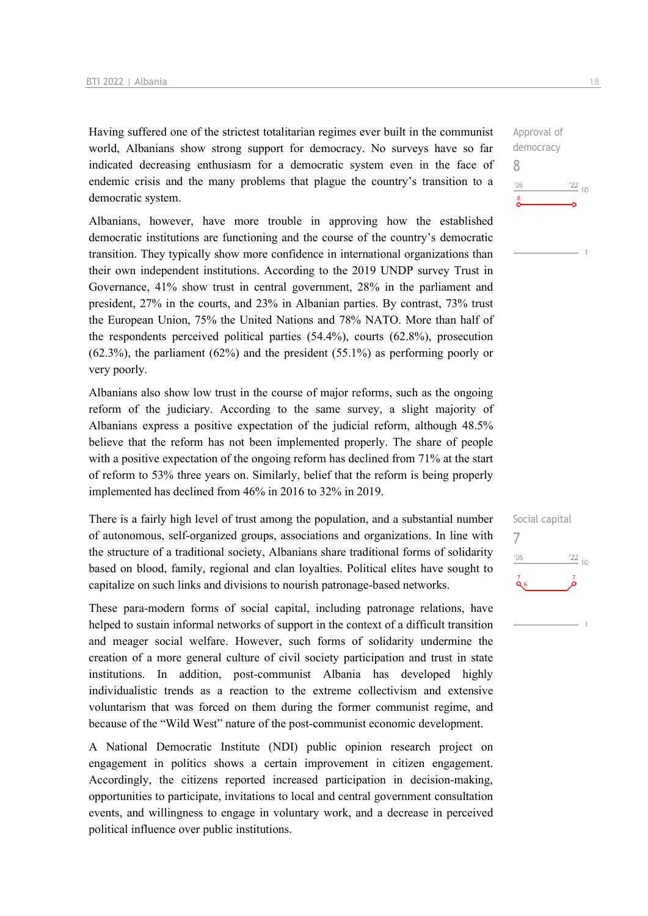Having suffered one of the strictest totalitarian regimes ever built in the communist world, Albanians show strong support for democracy. No surveys have so far indicated decreasing enthusiasm for a democratic system even in the face of endemic crisis and the many problems that plague the country's transition to a democratic system.

Albanians, however, have more trouble in approving how the established democratic institutions are functioning and the course of the country's democratic transition. They typically show more confidence in international organizations than their own independent institutions. According to the 2019 UNDP survey Trust in Governance, 41% show trust in central government, 28% in the parliament and president, 27% in the courts, and 23% in Albanian parties. By contrast, 73% trust the European Union, 75% the United Nations and 78% NATO. More than half of the respondents perceived political parties (54.4%), courts (62.8%), prosecution  $(62.3\%)$ , the parliament  $(62\%)$  and the president  $(55.1\%)$  as performing poorly or very poorly.

Albanians also show low trust in the course of major reforms, such as the ongoing reform of the judiciary. According to the same survey, a slight majority of Albanians express a positive expectation of the judicial reform, although 48.5% believe that the reform has not been implemented properly. The share of people with a positive expectation of the ongoing reform has declined from 71% at the start of reform to 53% three years on. Similarly, belief that the reform is being properly implemented has declined from 46% in 2016 to 32% in 2019.

There is a fairly high level of trust among the population, and a substantial number of autonomous, self-organized groups, associations and organizations. In line with the structure of a traditional society, Albanians share traditional forms of solidarity based on blood, family, regional and clan loyalties. Political elites have sought to capitalize on such links and divisions to nourish patronage-based networks.

These para-modern forms of social capital, including patronage relations, have helped to sustain informal networks of support in the context of a difficult transition and meager social welfare. However, such forms of solidarity undermine the creation of a more general culture of civil society participation and trust in state institutions. In addition, post-communist Albania has developed highly individualistic trends as a reaction to the extreme collectivism and extensive voluntarism that was forced on them during the former communist regime, and because of the "Wild West" nature of the post-communist economic development.

A National Democratic Institute (NDI) public opinion research project on engagement in politics shows a certain improvement in citizen engagement. Accordingly, the citizens reported increased participation in decision-making, opportunities to participate, invitations to local and central government consultation events, and willingness to engage in voluntary work, and a decrease in perceived political influence over public institutions.

Approval of democracy  $06'$  $\frac{22}{10}$  $\sum_{i=1}^{8}$ 

8

Social capital 7 $-06$  $\frac{22}{10}$ Q6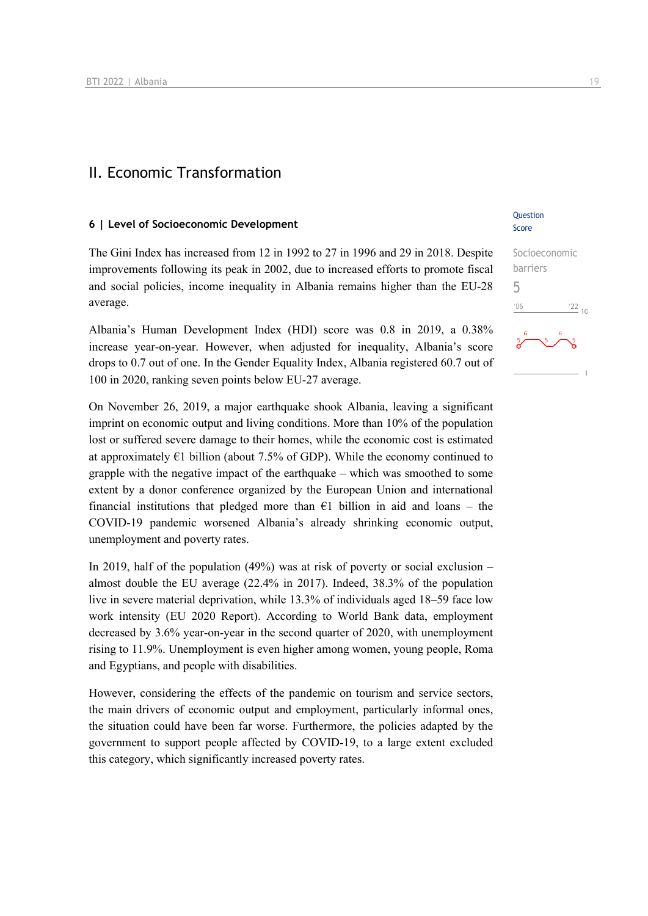## II. Economic Transformation

#### **6 | Level of Socioeconomic Development**

The Gini Index has increased from 12 in 1992 to 27 in 1996 and 29 in 2018. Despite improvements following its peak in 2002, due to increased efforts to promote fiscal and social policies, income inequality in Albania remains higher than the EU-28 average.

Albania's Human Development Index (HDI) score was 0.8 in 2019, a 0.38% increase year-on-year. However, when adjusted for inequality, Albania's score drops to 0.7 out of one. In the Gender Equality Index, Albania registered 60.7 out of 100 in 2020, ranking seven points below EU-27 average.

On November 26, 2019, a major earthquake shook Albania, leaving a significant imprint on economic output and living conditions. More than 10% of the population lost or suffered severe damage to their homes, while the economic cost is estimated at approximately  $E1$  billion (about 7.5% of GDP). While the economy continued to grapple with the negative impact of the earthquake – which was smoothed to some extent by a donor conference organized by the European Union and international financial institutions that pledged more than  $\epsilon$ 1 billion in aid and loans – the COVID-19 pandemic worsened Albania's already shrinking economic output, unemployment and poverty rates.

In 2019, half of the population  $(49%)$  was at risk of poverty or social exclusion – almost double the EU average (22.4% in 2017). Indeed, 38.3% of the population live in severe material deprivation, while 13.3% of individuals aged 18–59 face low work intensity (EU 2020 Report). According to World Bank data, employment decreased by 3.6% year-on-year in the second quarter of 2020, with unemployment rising to 11.9%. Unemployment is even higher among women, young people, Roma and Egyptians, and people with disabilities.

However, considering the effects of the pandemic on tourism and service sectors, the main drivers of economic output and employment, particularly informal ones, the situation could have been far worse. Furthermore, the policies adapted by the government to support people affected by COVID-19, to a large extent excluded this category, which significantly increased poverty rates.

#### **Question** Score

| Socioeconomic                     |  |  |  |  |  |  |  |
|-----------------------------------|--|--|--|--|--|--|--|
| barriers                          |  |  |  |  |  |  |  |
| h                                 |  |  |  |  |  |  |  |
| $^{22}_{-10}$<br>106              |  |  |  |  |  |  |  |
| 6<br>6<br>5<br>5<br>$\frac{5}{2}$ |  |  |  |  |  |  |  |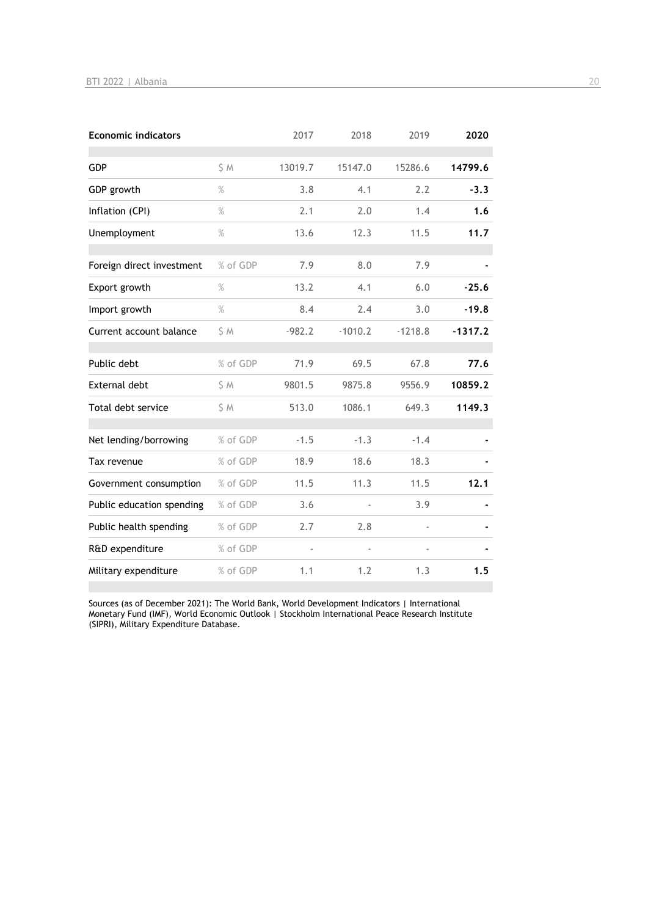| <b>Economic indicators</b> |          | 2017     | 2018      | 2019      | 2020      |
|----------------------------|----------|----------|-----------|-----------|-----------|
| <b>GDP</b>                 | S M      | 13019.7  | 15147.0   | 15286.6   | 14799.6   |
| GDP growth                 | $\%$     | 3.8      | 4.1       | 2.2       | $-3.3$    |
| Inflation (CPI)            | $\%$     | 2.1      | 2.0       | 1.4       | 1.6       |
| Unemployment               | $\%$     | 13.6     | 12.3      | 11.5      | 11.7      |
| Foreign direct investment  | % of GDP | 7.9      | 8.0       | 7.9       |           |
| Export growth              | $\%$     | 13.2     | 4.1       | 6.0       | $-25.6$   |
| Import growth              | $\%$     | 8.4      | 2.4       | 3.0       | $-19.8$   |
| Current account balance    | \$ M     | $-982.2$ | $-1010.2$ | $-1218.8$ | $-1317.2$ |
| Public debt                | % of GDP | 71.9     | 69.5      | 67.8      | 77.6      |
| <b>External debt</b>       | \$ M     | 9801.5   | 9875.8    | 9556.9    | 10859.2   |
| Total debt service         | S M      | 513.0    | 1086.1    | 649.3     | 1149.3    |
| Net lending/borrowing      | % of GDP | $-1.5$   | $-1.3$    | $-1.4$    |           |
| Tax revenue                | % of GDP | 18.9     | 18.6      | 18.3      |           |
| Government consumption     | % of GDP | 11.5     | 11.3      | 11.5      | 12.1      |
| Public education spending  | % of GDP | 3.6      |           | 3.9       |           |
| Public health spending     | % of GDP | 2.7      | 2.8       |           |           |
| R&D expenditure            | % of GDP |          |           |           |           |
| Military expenditure       | % of GDP | 1.1      | 1.2       | 1.3       | 1.5       |

Sources (as of December 2021): The World Bank, World Development Indicators | International Monetary Fund (IMF), World Economic Outlook | Stockholm International Peace Research Institute (SIPRI), Military Expenditure Database.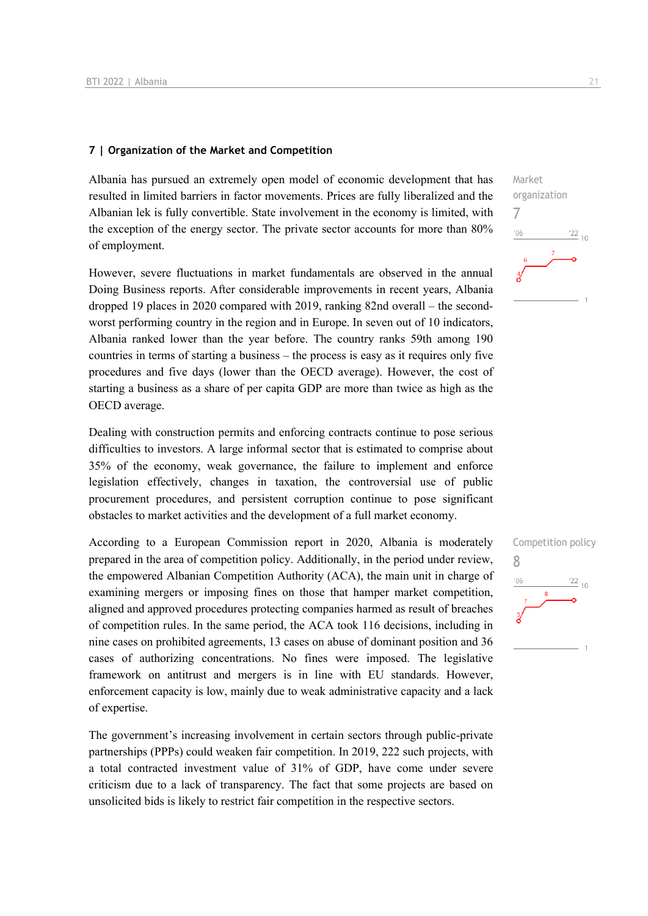#### **7 | Organization of the Market and Competition**

Albania has pursued an extremely open model of economic development that has resulted in limited barriers in factor movements. Prices are fully liberalized and the Albanian lek is fully convertible. State involvement in the economy is limited, with the exception of the energy sector. The private sector accounts for more than 80% of employment.

However, severe fluctuations in market fundamentals are observed in the annual Doing Business reports. After considerable improvements in recent years, Albania dropped 19 places in 2020 compared with 2019, ranking 82nd overall – the secondworst performing country in the region and in Europe. In seven out of 10 indicators, Albania ranked lower than the year before. The country ranks 59th among 190 countries in terms of starting a business – the process is easy as it requires only five procedures and five days (lower than the OECD average). However, the cost of starting a business as a share of per capita GDP are more than twice as high as the OECD average.

Dealing with construction permits and enforcing contracts continue to pose serious difficulties to investors. A large informal sector that is estimated to comprise about 35% of the economy, weak governance, the failure to implement and enforce legislation effectively, changes in taxation, the controversial use of public procurement procedures, and persistent corruption continue to pose significant obstacles to market activities and the development of a full market economy.

According to a European Commission report in 2020, Albania is moderately prepared in the area of competition policy. Additionally, in the period under review, the empowered Albanian Competition Authority (ACA), the main unit in charge of examining mergers or imposing fines on those that hamper market competition, aligned and approved procedures protecting companies harmed as result of breaches of competition rules. In the same period, the ACA took 116 decisions, including in nine cases on prohibited agreements, 13 cases on abuse of dominant position and 36 cases of authorizing concentrations. No fines were imposed. The legislative framework on antitrust and mergers is in line with EU standards. However, enforcement capacity is low, mainly due to weak administrative capacity and a lack of expertise.

The government's increasing involvement in certain sectors through public-private partnerships (PPPs) could weaken fair competition. In 2019, 222 such projects, with a total contracted investment value of 31% of GDP, have come under severe criticism due to a lack of transparency. The fact that some projects are based on unsolicited bids is likely to restrict fair competition in the respective sectors.

 $\frac{22}{10}$ 

Market

7

 $06'$ 

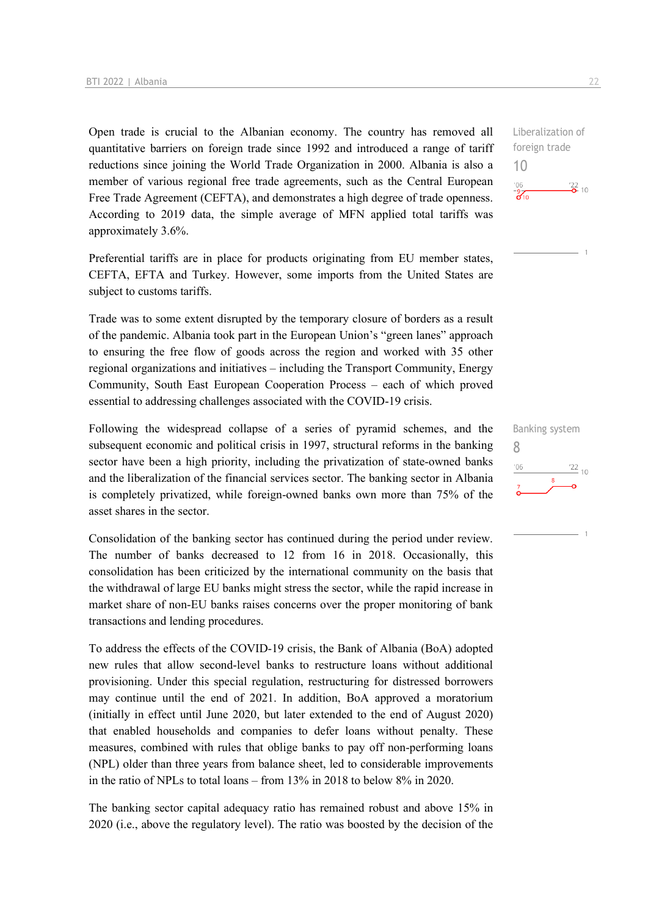Open trade is crucial to the Albanian economy. The country has removed all quantitative barriers on foreign trade since 1992 and introduced a range of tariff reductions since joining the World Trade Organization in 2000. Albania is also a member of various regional free trade agreements, such as the Central European Free Trade Agreement (CEFTA), and demonstrates a high degree of trade openness. According to 2019 data, the simple average of MFN applied total tariffs was approximately 3.6%.

Preferential tariffs are in place for products originating from EU member states, CEFTA, EFTA and Turkey. However, some imports from the United States are subject to customs tariffs.

Trade was to some extent disrupted by the temporary closure of borders as a result of the pandemic. Albania took part in the European Union's "green lanes" approach to ensuring the free flow of goods across the region and worked with 35 other regional organizations and initiatives – including the Transport Community, Energy Community, South East European Cooperation Process – each of which proved essential to addressing challenges associated with the COVID-19 crisis.

Following the widespread collapse of a series of pyramid schemes, and the subsequent economic and political crisis in 1997, structural reforms in the banking sector have been a high priority, including the privatization of state-owned banks and the liberalization of the financial services sector. The banking sector in Albania is completely privatized, while foreign-owned banks own more than 75% of the asset shares in the sector.

Consolidation of the banking sector has continued during the period under review. The number of banks decreased to 12 from 16 in 2018. Occasionally, this consolidation has been criticized by the international community on the basis that the withdrawal of large EU banks might stress the sector, while the rapid increase in market share of non-EU banks raises concerns over the proper monitoring of bank transactions and lending procedures.

To address the effects of the COVID-19 crisis, the Bank of Albania (BoA) adopted new rules that allow second-level banks to restructure loans without additional provisioning. Under this special regulation, restructuring for distressed borrowers may continue until the end of 2021. In addition, BoA approved a moratorium (initially in effect until June 2020, but later extended to the end of August 2020) that enabled households and companies to defer loans without penalty. These measures, combined with rules that oblige banks to pay off non-performing loans (NPL) older than three years from balance sheet, led to considerable improvements in the ratio of NPLs to total loans – from 13% in 2018 to below 8% in 2020.

The banking sector capital adequacy ratio has remained robust and above 15% in 2020 (i.e., above the regulatory level). The ratio was boosted by the decision of the

Liberalization of foreign trade 10  $-06$  $\frac{22}{2}$  10  $\frac{9}{610}$ 

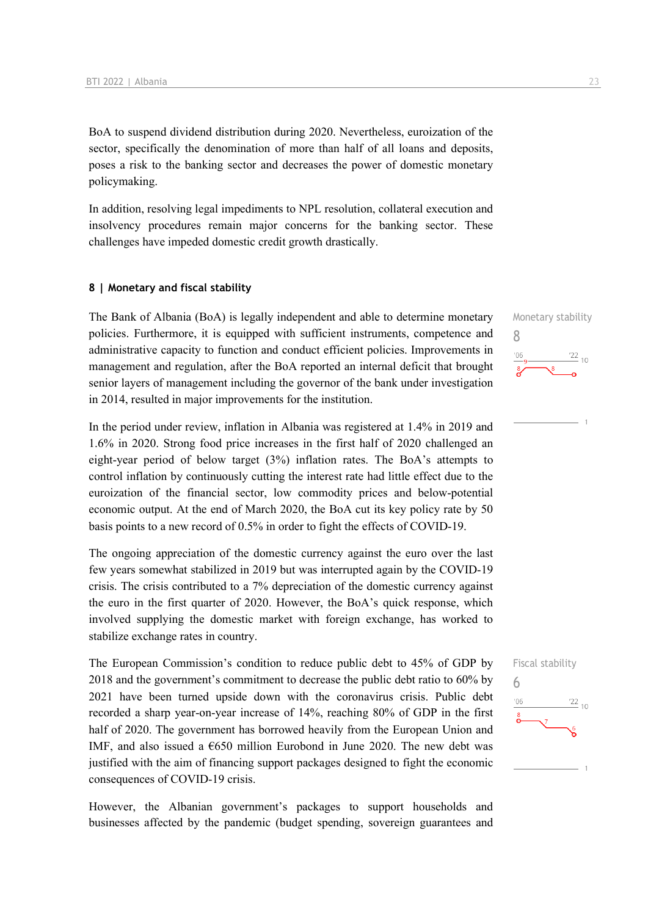BoA to suspend dividend distribution during 2020. Nevertheless, euroization of the sector, specifically the denomination of more than half of all loans and deposits, poses a risk to the banking sector and decreases the power of domestic monetary policymaking.

In addition, resolving legal impediments to NPL resolution, collateral execution and insolvency procedures remain major concerns for the banking sector. These challenges have impeded domestic credit growth drastically.

#### **8 | Monetary and fiscal stability**

The Bank of Albania (BoA) is legally independent and able to determine monetary policies. Furthermore, it is equipped with sufficient instruments, competence and administrative capacity to function and conduct efficient policies. Improvements in management and regulation, after the BoA reported an internal deficit that brought senior layers of management including the governor of the bank under investigation in 2014, resulted in major improvements for the institution.

In the period under review, inflation in Albania was registered at 1.4% in 2019 and 1.6% in 2020. Strong food price increases in the first half of 2020 challenged an eight-year period of below target (3%) inflation rates. The BoA's attempts to control inflation by continuously cutting the interest rate had little effect due to the euroization of the financial sector, low commodity prices and below-potential economic output. At the end of March 2020, the BoA cut its key policy rate by 50 basis points to a new record of 0.5% in order to fight the effects of COVID-19.

The ongoing appreciation of the domestic currency against the euro over the last few years somewhat stabilized in 2019 but was interrupted again by the COVID-19 crisis. The crisis contributed to a 7% depreciation of the domestic currency against the euro in the first quarter of 2020. However, the BoA's quick response, which involved supplying the domestic market with foreign exchange, has worked to stabilize exchange rates in country.

The European Commission's condition to reduce public debt to 45% of GDP by 2018 and the government's commitment to decrease the public debt ratio to 60% by 2021 have been turned upside down with the coronavirus crisis. Public debt recorded a sharp year-on-year increase of 14%, reaching 80% of GDP in the first half of 2020. The government has borrowed heavily from the European Union and IMF, and also issued a  $650$  million Eurobond in June 2020. The new debt was justified with the aim of financing support packages designed to fight the economic consequences of COVID-19 crisis.

However, the Albanian government's packages to support households and businesses affected by the pandemic (budget spending, sovereign guarantees and Monetary stability 8  $\frac{22}{10}$  $n \in \mathbb{R}$ 

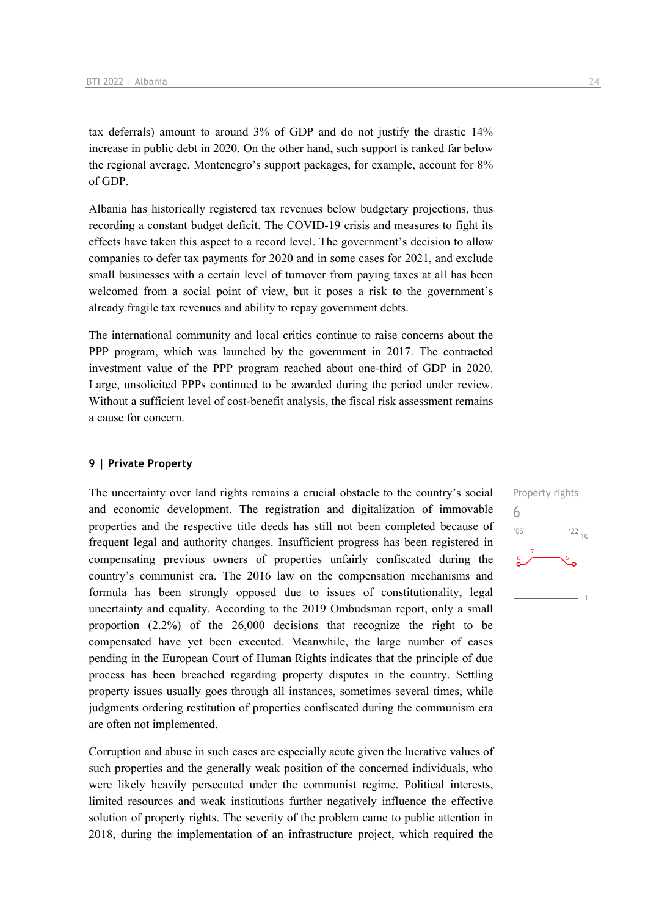tax deferrals) amount to around 3% of GDP and do not justify the drastic 14% increase in public debt in 2020. On the other hand, such support is ranked far below the regional average. Montenegro's support packages, for example, account for 8% of GDP.

Albania has historically registered tax revenues below budgetary projections, thus recording a constant budget deficit. The COVID-19 crisis and measures to fight its effects have taken this aspect to a record level. The government's decision to allow companies to defer tax payments for 2020 and in some cases for 2021, and exclude small businesses with a certain level of turnover from paying taxes at all has been welcomed from a social point of view, but it poses a risk to the government's already fragile tax revenues and ability to repay government debts.

The international community and local critics continue to raise concerns about the PPP program, which was launched by the government in 2017. The contracted investment value of the PPP program reached about one-third of GDP in 2020. Large, unsolicited PPPs continued to be awarded during the period under review. Without a sufficient level of cost-benefit analysis, the fiscal risk assessment remains a cause for concern.

#### **9 | Private Property**

The uncertainty over land rights remains a crucial obstacle to the country's social and economic development. The registration and digitalization of immovable properties and the respective title deeds has still not been completed because of frequent legal and authority changes. Insufficient progress has been registered in compensating previous owners of properties unfairly confiscated during the country's communist era. The 2016 law on the compensation mechanisms and formula has been strongly opposed due to issues of constitutionality, legal uncertainty and equality. According to the 2019 Ombudsman report, only a small proportion (2.2%) of the 26,000 decisions that recognize the right to be compensated have yet been executed. Meanwhile, the large number of cases pending in the European Court of Human Rights indicates that the principle of due process has been breached regarding property disputes in the country. Settling property issues usually goes through all instances, sometimes several times, while judgments ordering restitution of properties confiscated during the communism era are often not implemented.

Corruption and abuse in such cases are especially acute given the lucrative values of such properties and the generally weak position of the concerned individuals, who were likely heavily persecuted under the communist regime. Political interests, limited resources and weak institutions further negatively influence the effective solution of property rights. The severity of the problem came to public attention in 2018, during the implementation of an infrastructure project, which required the

Property rights 6 $\frac{22}{10}$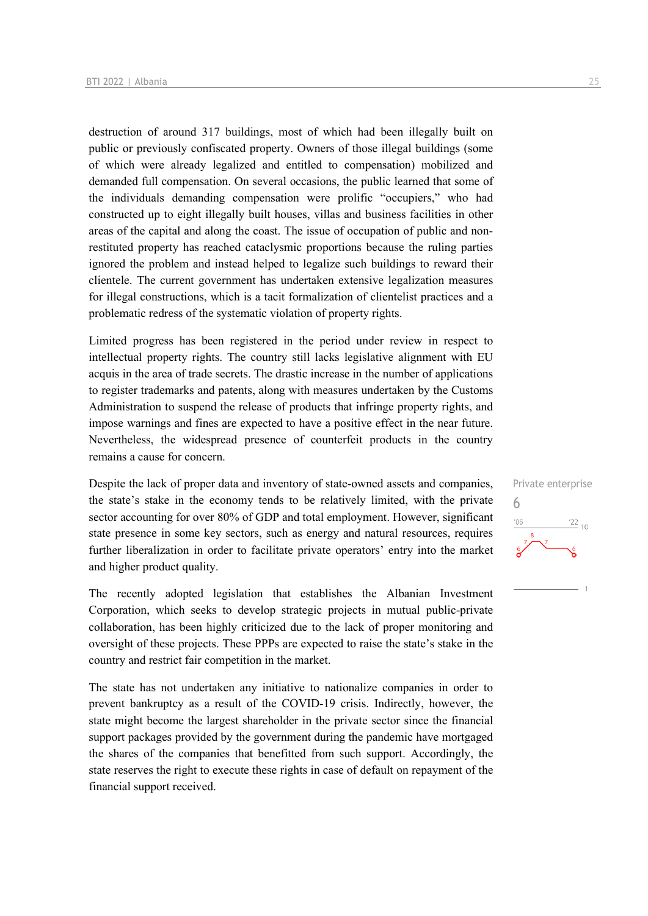destruction of around 317 buildings, most of which had been illegally built on public or previously confiscated property. Owners of those illegal buildings (some of which were already legalized and entitled to compensation) mobilized and demanded full compensation. On several occasions, the public learned that some of the individuals demanding compensation were prolific "occupiers," who had constructed up to eight illegally built houses, villas and business facilities in other areas of the capital and along the coast. The issue of occupation of public and nonrestituted property has reached cataclysmic proportions because the ruling parties ignored the problem and instead helped to legalize such buildings to reward their clientele. The current government has undertaken extensive legalization measures for illegal constructions, which is a tacit formalization of clientelist practices and a problematic redress of the systematic violation of property rights.

Limited progress has been registered in the period under review in respect to intellectual property rights. The country still lacks legislative alignment with EU acquis in the area of trade secrets. The drastic increase in the number of applications to register trademarks and patents, along with measures undertaken by the Customs Administration to suspend the release of products that infringe property rights, and impose warnings and fines are expected to have a positive effect in the near future. Nevertheless, the widespread presence of counterfeit products in the country remains a cause for concern.

Despite the lack of proper data and inventory of state-owned assets and companies, the state's stake in the economy tends to be relatively limited, with the private sector accounting for over 80% of GDP and total employment. However, significant state presence in some key sectors, such as energy and natural resources, requires further liberalization in order to facilitate private operators' entry into the market and higher product quality.

The recently adopted legislation that establishes the Albanian Investment Corporation, which seeks to develop strategic projects in mutual public-private collaboration, has been highly criticized due to the lack of proper monitoring and oversight of these projects. These PPPs are expected to raise the state's stake in the country and restrict fair competition in the market.

The state has not undertaken any initiative to nationalize companies in order to prevent bankruptcy as a result of the COVID-19 crisis. Indirectly, however, the state might become the largest shareholder in the private sector since the financial support packages provided by the government during the pandemic have mortgaged the shares of the companies that benefitted from such support. Accordingly, the state reserves the right to execute these rights in case of default on repayment of the financial support received.

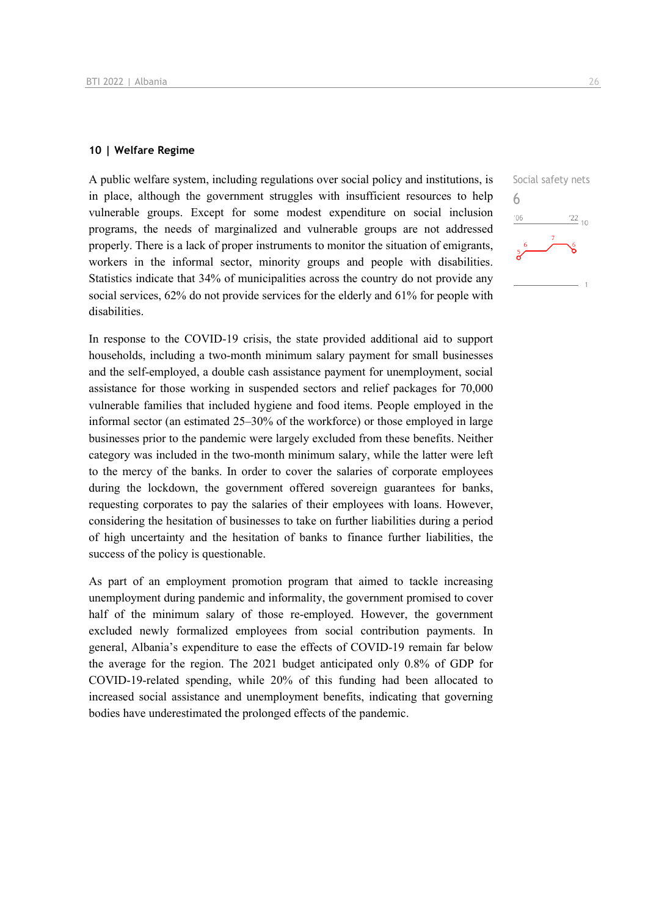#### **10 | Welfare Regime**

A public welfare system, including regulations over social policy and institutions, is in place, although the government struggles with insufficient resources to help vulnerable groups. Except for some modest expenditure on social inclusion programs, the needs of marginalized and vulnerable groups are not addressed properly. There is a lack of proper instruments to monitor the situation of emigrants, workers in the informal sector, minority groups and people with disabilities. Statistics indicate that 34% of municipalities across the country do not provide any social services, 62% do not provide services for the elderly and 61% for people with disabilities.

In response to the COVID-19 crisis, the state provided additional aid to support households, including a two-month minimum salary payment for small businesses and the self-employed, a double cash assistance payment for unemployment, social assistance for those working in suspended sectors and relief packages for 70,000 vulnerable families that included hygiene and food items. People employed in the informal sector (an estimated 25–30% of the workforce) or those employed in large businesses prior to the pandemic were largely excluded from these benefits. Neither category was included in the two-month minimum salary, while the latter were left to the mercy of the banks. In order to cover the salaries of corporate employees during the lockdown, the government offered sovereign guarantees for banks, requesting corporates to pay the salaries of their employees with loans. However, considering the hesitation of businesses to take on further liabilities during a period of high uncertainty and the hesitation of banks to finance further liabilities, the success of the policy is questionable.

As part of an employment promotion program that aimed to tackle increasing unemployment during pandemic and informality, the government promised to cover half of the minimum salary of those re-employed. However, the government excluded newly formalized employees from social contribution payments. In general, Albania's expenditure to ease the effects of COVID-19 remain far below the average for the region. The 2021 budget anticipated only 0.8% of GDP for COVID-19-related spending, while 20% of this funding had been allocated to increased social assistance and unemployment benefits, indicating that governing bodies have underestimated the prolonged effects of the pandemic.

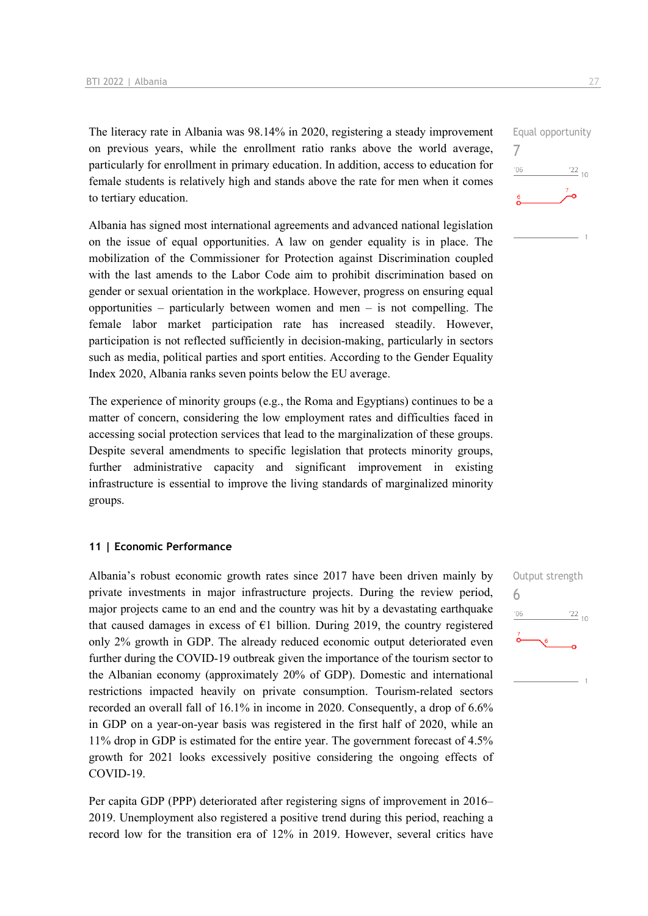The literacy rate in Albania was 98.14% in 2020, registering a steady improvement on previous years, while the enrollment ratio ranks above the world average, particularly for enrollment in primary education. In addition, access to education for female students is relatively high and stands above the rate for men when it comes to tertiary education.

Albania has signed most international agreements and advanced national legislation on the issue of equal opportunities. A law on gender equality is in place. The mobilization of the Commissioner for Protection against Discrimination coupled with the last amends to the Labor Code aim to prohibit discrimination based on gender or sexual orientation in the workplace. However, progress on ensuring equal opportunities – particularly between women and men – is not compelling. The female labor market participation rate has increased steadily. However, participation is not reflected sufficiently in decision-making, particularly in sectors such as media, political parties and sport entities. According to the Gender Equality Index 2020, Albania ranks seven points below the EU average.

The experience of minority groups (e.g., the Roma and Egyptians) continues to be a matter of concern, considering the low employment rates and difficulties faced in accessing social protection services that lead to the marginalization of these groups. Despite several amendments to specific legislation that protects minority groups, further administrative capacity and significant improvement in existing infrastructure is essential to improve the living standards of marginalized minority groups.

#### **11 | Economic Performance**

Albania's robust economic growth rates since 2017 have been driven mainly by private investments in major infrastructure projects. During the review period, major projects came to an end and the country was hit by a devastating earthquake that caused damages in excess of  $E1$  billion. During 2019, the country registered only 2% growth in GDP. The already reduced economic output deteriorated even further during the COVID-19 outbreak given the importance of the tourism sector to the Albanian economy (approximately 20% of GDP). Domestic and international restrictions impacted heavily on private consumption. Tourism-related sectors recorded an overall fall of 16.1% in income in 2020. Consequently, a drop of 6.6% in GDP on a year-on-year basis was registered in the first half of 2020, while an 11% drop in GDP is estimated for the entire year. The government forecast of 4.5% growth for 2021 looks excessively positive considering the ongoing effects of COVID-19.

Per capita GDP (PPP) deteriorated after registering signs of improvement in 2016– 2019. Unemployment also registered a positive trend during this period, reaching a record low for the transition era of 12% in 2019. However, several critics have

Output strength  $\frac{22}{10}$ 



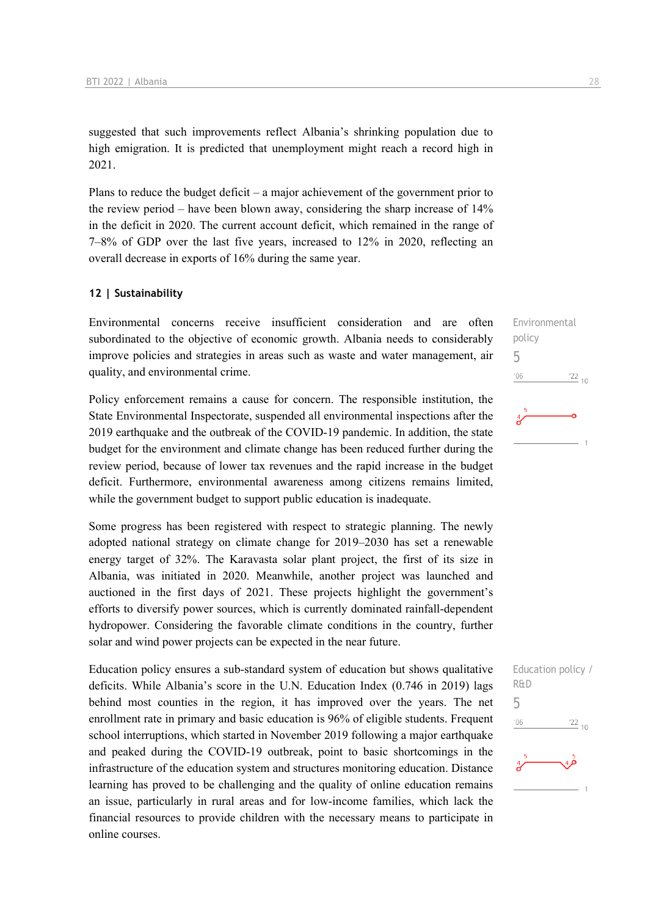suggested that such improvements reflect Albania's shrinking population due to high emigration. It is predicted that unemployment might reach a record high in 2021.

Plans to reduce the budget deficit – a major achievement of the government prior to the review period – have been blown away, considering the sharp increase of 14% in the deficit in 2020. The current account deficit, which remained in the range of 7–8% of GDP over the last five years, increased to 12% in 2020, reflecting an overall decrease in exports of 16% during the same year.

#### **12 | Sustainability**

Environmental concerns receive insufficient consideration and are often subordinated to the objective of economic growth. Albania needs to considerably improve policies and strategies in areas such as waste and water management, air quality, and environmental crime.

Policy enforcement remains a cause for concern. The responsible institution, the State Environmental Inspectorate, suspended all environmental inspections after the 2019 earthquake and the outbreak of the COVID-19 pandemic. In addition, the state budget for the environment and climate change has been reduced further during the review period, because of lower tax revenues and the rapid increase in the budget deficit. Furthermore, environmental awareness among citizens remains limited, while the government budget to support public education is inadequate.

Some progress has been registered with respect to strategic planning. The newly adopted national strategy on climate change for 2019–2030 has set a renewable energy target of 32%. The Karavasta solar plant project, the first of its size in Albania, was initiated in 2020. Meanwhile, another project was launched and auctioned in the first days of 2021. These projects highlight the government's efforts to diversify power sources, which is currently dominated rainfall-dependent hydropower. Considering the favorable climate conditions in the country, further solar and wind power projects can be expected in the near future.

Education policy ensures a sub-standard system of education but shows qualitative deficits. While Albania's score in the U.N. Education Index (0.746 in 2019) lags behind most counties in the region, it has improved over the years. The net enrollment rate in primary and basic education is 96% of eligible students. Frequent school interruptions, which started in November 2019 following a major earthquake and peaked during the COVID-19 outbreak, point to basic shortcomings in the infrastructure of the education system and structures monitoring education. Distance learning has proved to be challenging and the quality of online education remains an issue, particularly in rural areas and for low-income families, which lack the financial resources to provide children with the necessary means to participate in online courses.

Environmental policy 5  $^{22}_{-10}$  $'06$ 

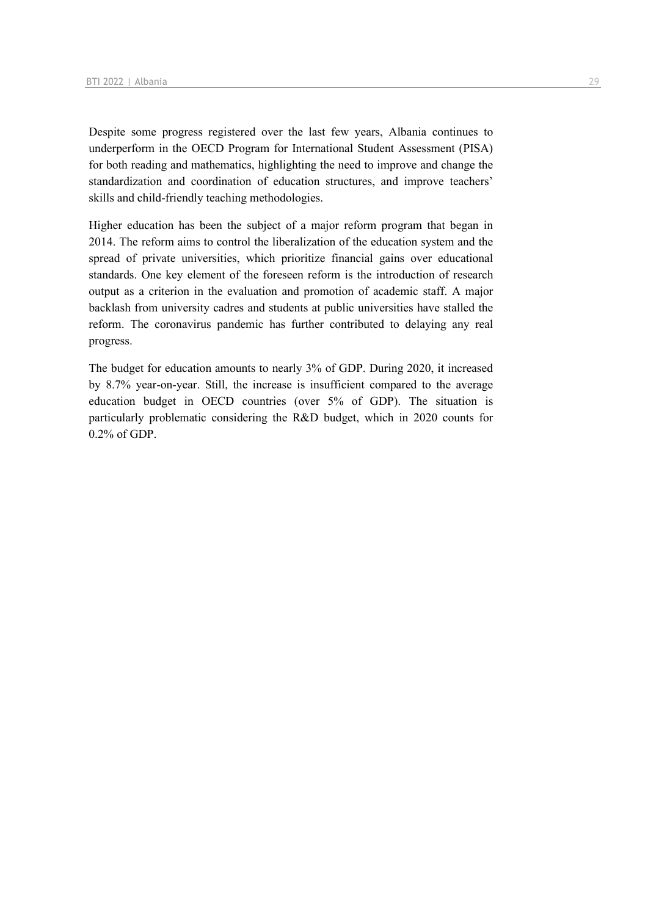Despite some progress registered over the last few years, Albania continues to underperform in the OECD Program for International Student Assessment (PISA) for both reading and mathematics, highlighting the need to improve and change the standardization and coordination of education structures, and improve teachers' skills and child-friendly teaching methodologies.

Higher education has been the subject of a major reform program that began in 2014. The reform aims to control the liberalization of the education system and the spread of private universities, which prioritize financial gains over educational standards. One key element of the foreseen reform is the introduction of research output as a criterion in the evaluation and promotion of academic staff. A major backlash from university cadres and students at public universities have stalled the reform. The coronavirus pandemic has further contributed to delaying any real progress.

The budget for education amounts to nearly 3% of GDP. During 2020, it increased by 8.7% year-on-year. Still, the increase is insufficient compared to the average education budget in OECD countries (over 5% of GDP). The situation is particularly problematic considering the R&D budget, which in 2020 counts for 0.2% of GDP.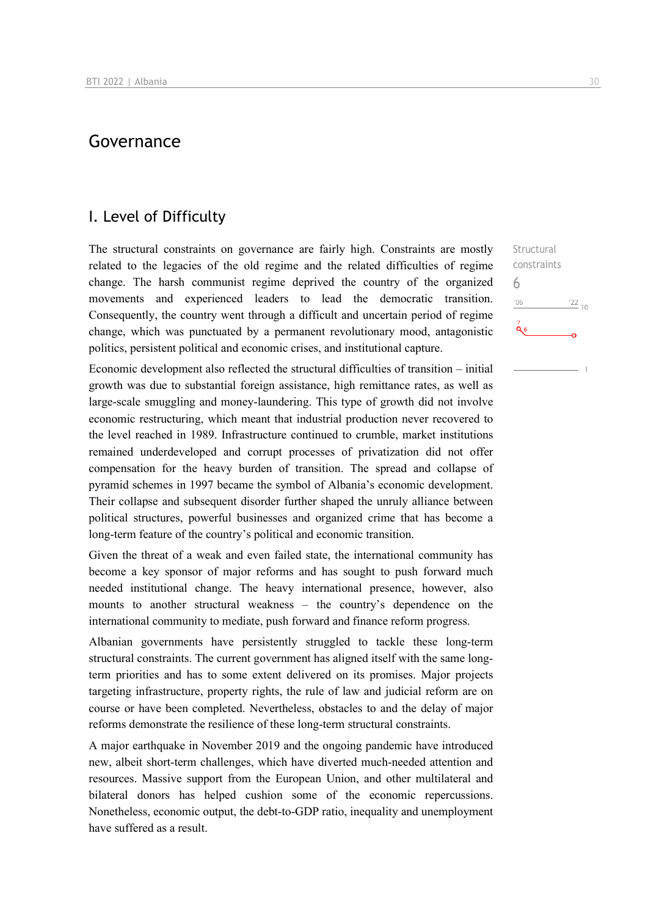## Governance

## I. Level of Difficulty

The structural constraints on governance are fairly high. Constraints are mostly related to the legacies of the old regime and the related difficulties of regime change. The harsh communist regime deprived the country of the organized movements and experienced leaders to lead the democratic transition. Consequently, the country went through a difficult and uncertain period of regime change, which was punctuated by a permanent revolutionary mood, antagonistic politics, persistent political and economic crises, and institutional capture.

Economic development also reflected the structural difficulties of transition – initial growth was due to substantial foreign assistance, high remittance rates, as well as large-scale smuggling and money-laundering. This type of growth did not involve economic restructuring, which meant that industrial production never recovered to the level reached in 1989. Infrastructure continued to crumble, market institutions remained underdeveloped and corrupt processes of privatization did not offer compensation for the heavy burden of transition. The spread and collapse of pyramid schemes in 1997 became the symbol of Albania's economic development. Their collapse and subsequent disorder further shaped the unruly alliance between political structures, powerful businesses and organized crime that has become a long-term feature of the country's political and economic transition.

Given the threat of a weak and even failed state, the international community has become a key sponsor of major reforms and has sought to push forward much needed institutional change. The heavy international presence, however, also mounts to another structural weakness – the country's dependence on the international community to mediate, push forward and finance reform progress.

Albanian governments have persistently struggled to tackle these long-term structural constraints. The current government has aligned itself with the same longterm priorities and has to some extent delivered on its promises. Major projects targeting infrastructure, property rights, the rule of law and judicial reform are on course or have been completed. Nevertheless, obstacles to and the delay of major reforms demonstrate the resilience of these long-term structural constraints.

A major earthquake in November 2019 and the ongoing pandemic have introduced new, albeit short-term challenges, which have diverted much-needed attention and resources. Massive support from the European Union, and other multilateral and bilateral donors has helped cushion some of the economic repercussions. Nonetheless, economic output, the debt-to-GDP ratio, inequality and unemployment have suffered as a result.

Structural constraints 6 $'06$  $122_{10}$  $\alpha$ <sub>6</sub>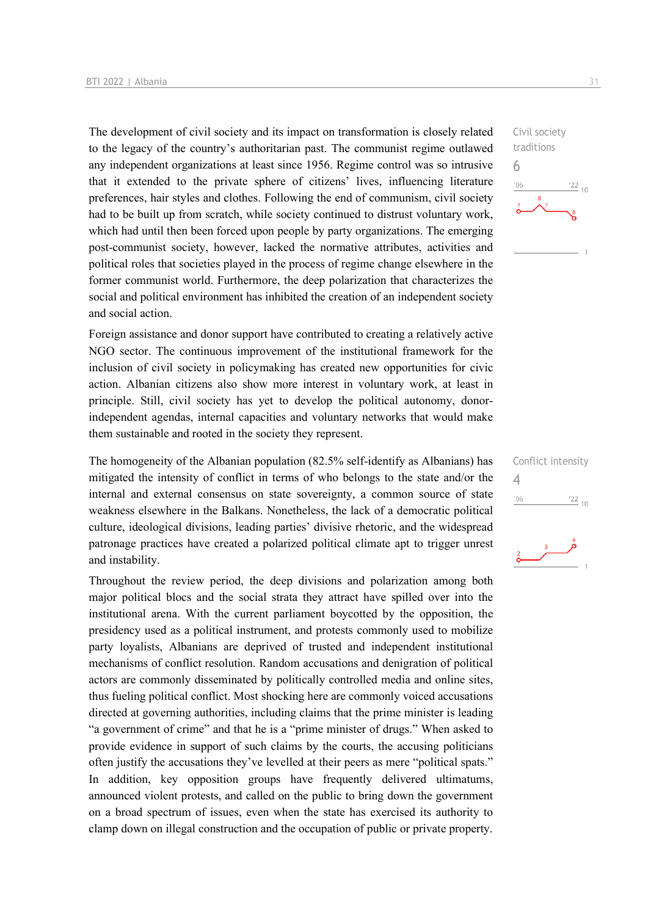The development of civil society and its impact on transformation is closely related to the legacy of the country's authoritarian past. The communist regime outlawed any independent organizations at least since 1956. Regime control was so intrusive that it extended to the private sphere of citizens' lives, influencing literature preferences, hair styles and clothes. Following the end of communism, civil society had to be built up from scratch, while society continued to distrust voluntary work, which had until then been forced upon people by party organizations. The emerging post-communist society, however, lacked the normative attributes, activities and political roles that societies played in the process of regime change elsewhere in the former communist world. Furthermore, the deep polarization that characterizes the social and political environment has inhibited the creation of an independent society and social action.

Foreign assistance and donor support have contributed to creating a relatively active NGO sector. The continuous improvement of the institutional framework for the inclusion of civil society in policymaking has created new opportunities for civic action. Albanian citizens also show more interest in voluntary work, at least in principle. Still, civil society has yet to develop the political autonomy, donorindependent agendas, internal capacities and voluntary networks that would make them sustainable and rooted in the society they represent.

The homogeneity of the Albanian population (82.5% self-identify as Albanians) has mitigated the intensity of conflict in terms of who belongs to the state and/or the internal and external consensus on state sovereignty, a common source of state weakness elsewhere in the Balkans. Nonetheless, the lack of a democratic political culture, ideological divisions, leading parties' divisive rhetoric, and the widespread patronage practices have created a polarized political climate apt to trigger unrest and instability.

Throughout the review period, the deep divisions and polarization among both major political blocs and the social strata they attract have spilled over into the institutional arena. With the current parliament boycotted by the opposition, the presidency used as a political instrument, and protests commonly used to mobilize party loyalists, Albanians are deprived of trusted and independent institutional mechanisms of conflict resolution. Random accusations and denigration of political actors are commonly disseminated by politically controlled media and online sites, thus fueling political conflict. Most shocking here are commonly voiced accusations directed at governing authorities, including claims that the prime minister is leading "a government of crime" and that he is a "prime minister of drugs." When asked to provide evidence in support of such claims by the courts, the accusing politicians often justify the accusations they've levelled at their peers as mere "political spats." In addition, key opposition groups have frequently delivered ultimatums, announced violent protests, and called on the public to bring down the government on a broad spectrum of issues, even when the state has exercised its authority to clamp down on illegal construction and the occupation of public or private property.



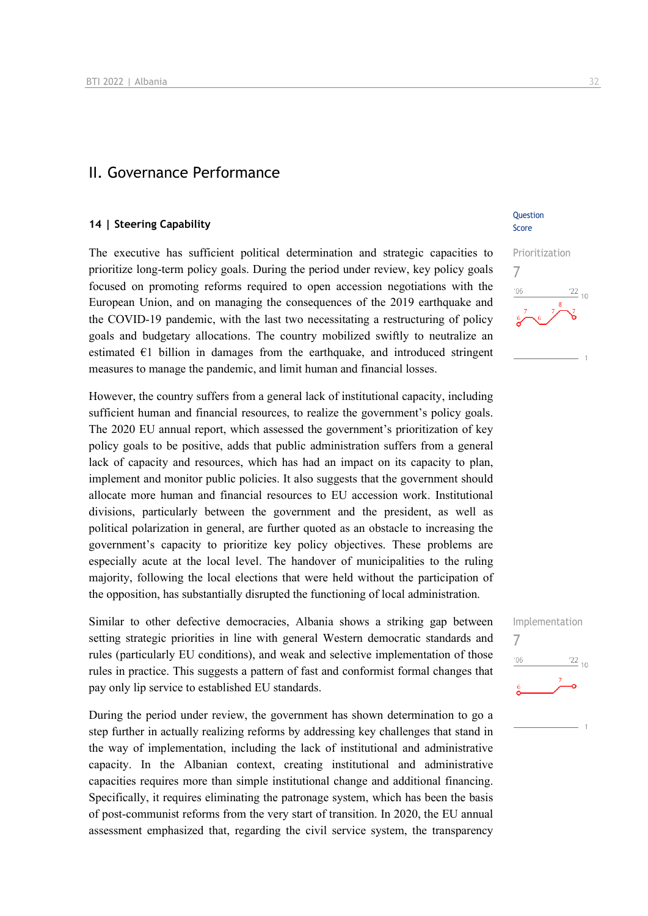### II. Governance Performance

#### **14 | Steering Capability**

The executive has sufficient political determination and strategic capacities to prioritize long-term policy goals. During the period under review, key policy goals focused on promoting reforms required to open accession negotiations with the European Union, and on managing the consequences of the 2019 earthquake and the COVID-19 pandemic, with the last two necessitating a restructuring of policy goals and budgetary allocations. The country mobilized swiftly to neutralize an estimated  $E1$  billion in damages from the earthquake, and introduced stringent measures to manage the pandemic, and limit human and financial losses.

However, the country suffers from a general lack of institutional capacity, including sufficient human and financial resources, to realize the government's policy goals. The 2020 EU annual report, which assessed the government's prioritization of key policy goals to be positive, adds that public administration suffers from a general lack of capacity and resources, which has had an impact on its capacity to plan, implement and monitor public policies. It also suggests that the government should allocate more human and financial resources to EU accession work. Institutional divisions, particularly between the government and the president, as well as political polarization in general, are further quoted as an obstacle to increasing the government's capacity to prioritize key policy objectives. These problems are especially acute at the local level. The handover of municipalities to the ruling majority, following the local elections that were held without the participation of the opposition, has substantially disrupted the functioning of local administration.

Similar to other defective democracies, Albania shows a striking gap between setting strategic priorities in line with general Western democratic standards and rules (particularly EU conditions), and weak and selective implementation of those rules in practice. This suggests a pattern of fast and conformist formal changes that pay only lip service to established EU standards.

During the period under review, the government has shown determination to go a step further in actually realizing reforms by addressing key challenges that stand in the way of implementation, including the lack of institutional and administrative capacity. In the Albanian context, creating institutional and administrative capacities requires more than simple institutional change and additional financing. Specifically, it requires eliminating the patronage system, which has been the basis of post-communist reforms from the very start of transition. In 2020, the EU annual assessment emphasized that, regarding the civil service system, the transparency

**Ouestion** Score



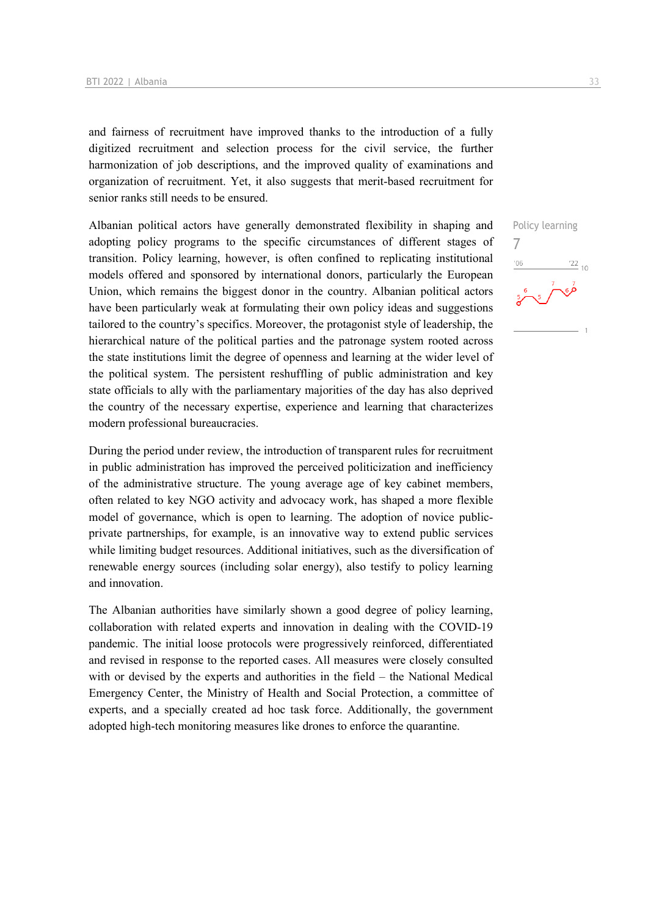and fairness of recruitment have improved thanks to the introduction of a fully digitized recruitment and selection process for the civil service, the further harmonization of job descriptions, and the improved quality of examinations and organization of recruitment. Yet, it also suggests that merit-based recruitment for senior ranks still needs to be ensured.

Albanian political actors have generally demonstrated flexibility in shaping and adopting policy programs to the specific circumstances of different stages of transition. Policy learning, however, is often confined to replicating institutional models offered and sponsored by international donors, particularly the European Union, which remains the biggest donor in the country. Albanian political actors have been particularly weak at formulating their own policy ideas and suggestions tailored to the country's specifics. Moreover, the protagonist style of leadership, the hierarchical nature of the political parties and the patronage system rooted across the state institutions limit the degree of openness and learning at the wider level of the political system. The persistent reshuffling of public administration and key state officials to ally with the parliamentary majorities of the day has also deprived the country of the necessary expertise, experience and learning that characterizes modern professional bureaucracies.

During the period under review, the introduction of transparent rules for recruitment in public administration has improved the perceived politicization and inefficiency of the administrative structure. The young average age of key cabinet members, often related to key NGO activity and advocacy work, has shaped a more flexible model of governance, which is open to learning. The adoption of novice publicprivate partnerships, for example, is an innovative way to extend public services while limiting budget resources. Additional initiatives, such as the diversification of renewable energy sources (including solar energy), also testify to policy learning and innovation.

The Albanian authorities have similarly shown a good degree of policy learning, collaboration with related experts and innovation in dealing with the COVID-19 pandemic. The initial loose protocols were progressively reinforced, differentiated and revised in response to the reported cases. All measures were closely consulted with or devised by the experts and authorities in the field – the National Medical Emergency Center, the Ministry of Health and Social Protection, a committee of experts, and a specially created ad hoc task force. Additionally, the government adopted high-tech monitoring measures like drones to enforce the quarantine.

Policy learning 7 $\frac{22}{10}$  $n<sub>6</sub>$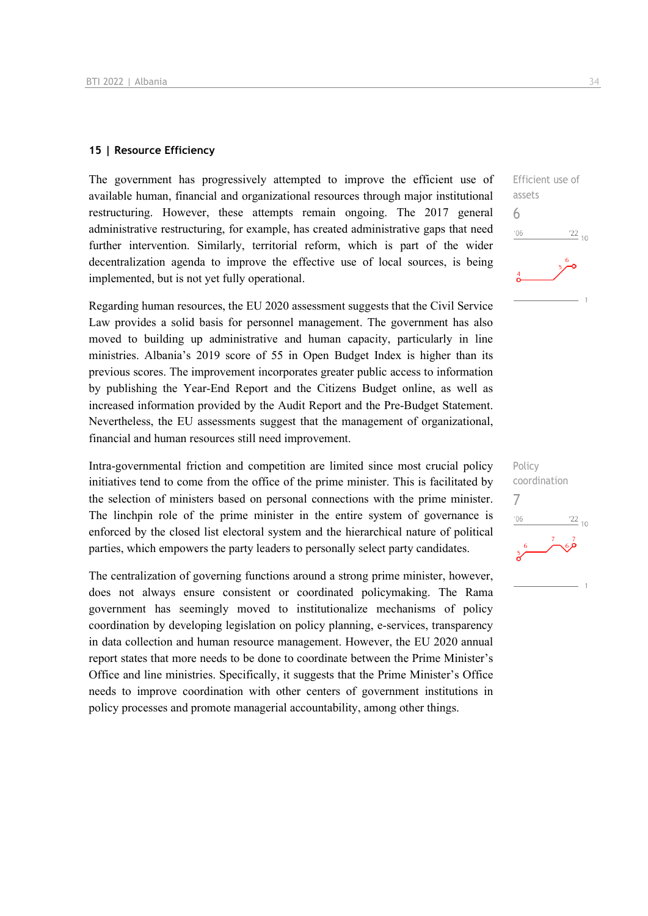#### **15 | Resource Efficiency**

The government has progressively attempted to improve the efficient use of available human, financial and organizational resources through major institutional restructuring. However, these attempts remain ongoing. The 2017 general administrative restructuring, for example, has created administrative gaps that need further intervention. Similarly, territorial reform, which is part of the wider decentralization agenda to improve the effective use of local sources, is being implemented, but is not yet fully operational.

Regarding human resources, the EU 2020 assessment suggests that the Civil Service Law provides a solid basis for personnel management. The government has also moved to building up administrative and human capacity, particularly in line ministries. Albania's 2019 score of 55 in Open Budget Index is higher than its previous scores. The improvement incorporates greater public access to information by publishing the Year-End Report and the Citizens Budget online, as well as increased information provided by the Audit Report and the Pre-Budget Statement. Nevertheless, the EU assessments suggest that the management of organizational, financial and human resources still need improvement.

Intra-governmental friction and competition are limited since most crucial policy initiatives tend to come from the office of the prime minister. This is facilitated by the selection of ministers based on personal connections with the prime minister. The linchpin role of the prime minister in the entire system of governance is enforced by the closed list electoral system and the hierarchical nature of political parties, which empowers the party leaders to personally select party candidates.

The centralization of governing functions around a strong prime minister, however, does not always ensure consistent or coordinated policymaking. The Rama government has seemingly moved to institutionalize mechanisms of policy coordination by developing legislation on policy planning, e-services, transparency in data collection and human resource management. However, the EU 2020 annual report states that more needs to be done to coordinate between the Prime Minister's Office and line ministries. Specifically, it suggests that the Prime Minister's Office needs to improve coordination with other centers of government institutions in policy processes and promote managerial accountability, among other things.



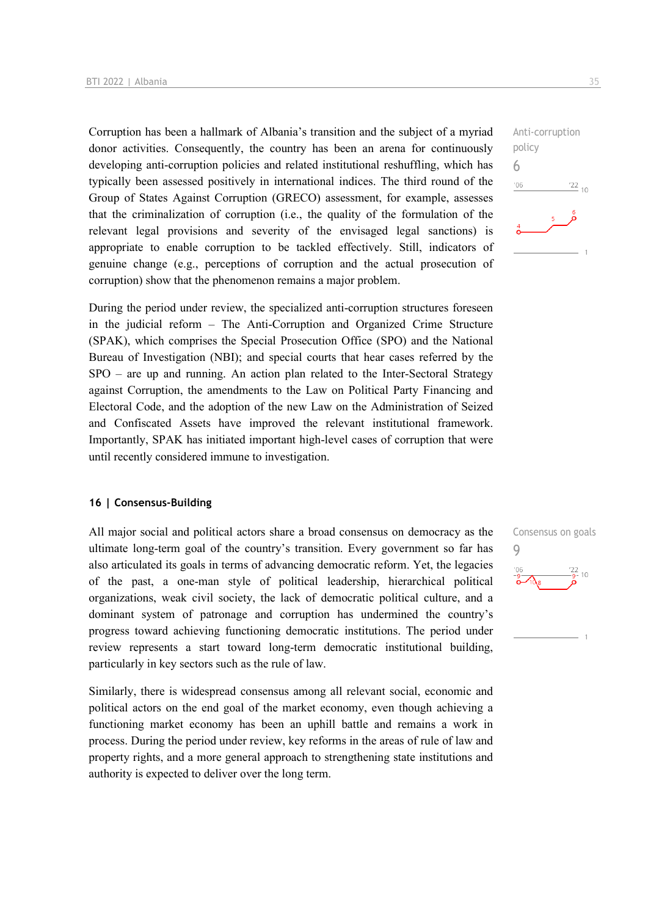Corruption has been a hallmark of Albania's transition and the subject of a myriad donor activities. Consequently, the country has been an arena for continuously developing anti-corruption policies and related institutional reshuffling, which has typically been assessed positively in international indices. The third round of the Group of States Against Corruption (GRECO) assessment, for example, assesses that the criminalization of corruption (i.e., the quality of the formulation of the relevant legal provisions and severity of the envisaged legal sanctions) is appropriate to enable corruption to be tackled effectively. Still, indicators of genuine change (e.g., perceptions of corruption and the actual prosecution of corruption) show that the phenomenon remains a major problem.

During the period under review, the specialized anti-corruption structures foreseen in the judicial reform – The Anti-Corruption and Organized Crime Structure (SPAK), which comprises the Special Prosecution Office (SPO) and the National Bureau of Investigation (NBI); and special courts that hear cases referred by the SPO – are up and running. An action plan related to the Inter-Sectoral Strategy against Corruption, the amendments to the Law on Political Party Financing and Electoral Code, and the adoption of the new Law on the Administration of Seized and Confiscated Assets have improved the relevant institutional framework. Importantly, SPAK has initiated important high-level cases of corruption that were until recently considered immune to investigation.

#### **16 | Consensus-Building**

All major social and political actors share a broad consensus on democracy as the ultimate long-term goal of the country's transition. Every government so far has also articulated its goals in terms of advancing democratic reform. Yet, the legacies of the past, a one-man style of political leadership, hierarchical political organizations, weak civil society, the lack of democratic political culture, and a dominant system of patronage and corruption has undermined the country's progress toward achieving functioning democratic institutions. The period under review represents a start toward long-term democratic institutional building, particularly in key sectors such as the rule of law.

Similarly, there is widespread consensus among all relevant social, economic and political actors on the end goal of the market economy, even though achieving a functioning market economy has been an uphill battle and remains a work in process. During the period under review, key reforms in the areas of rule of law and property rights, and a more general approach to strengthening state institutions and authority is expected to deliver over the long term.

Anti-corruption policy 6  $-06$  $\frac{22}{10}$ 

Consensus on goals 9 $10$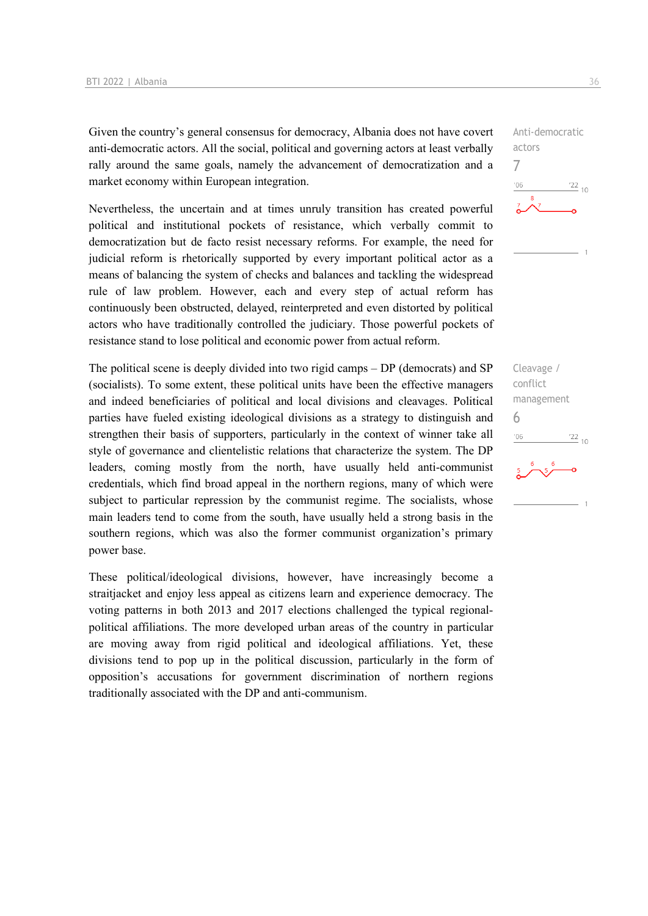Given the country's general consensus for democracy, Albania does not have covert anti-democratic actors. All the social, political and governing actors at least verbally rally around the same goals, namely the advancement of democratization and a market economy within European integration.

Nevertheless, the uncertain and at times unruly transition has created powerful political and institutional pockets of resistance, which verbally commit to democratization but de facto resist necessary reforms. For example, the need for judicial reform is rhetorically supported by every important political actor as a means of balancing the system of checks and balances and tackling the widespread rule of law problem. However, each and every step of actual reform has continuously been obstructed, delayed, reinterpreted and even distorted by political actors who have traditionally controlled the judiciary. Those powerful pockets of resistance stand to lose political and economic power from actual reform.

The political scene is deeply divided into two rigid camps – DP (democrats) and SP (socialists). To some extent, these political units have been the effective managers and indeed beneficiaries of political and local divisions and cleavages. Political parties have fueled existing ideological divisions as a strategy to distinguish and strengthen their basis of supporters, particularly in the context of winner take all style of governance and clientelistic relations that characterize the system. The DP leaders, coming mostly from the north, have usually held anti-communist credentials, which find broad appeal in the northern regions, many of which were subject to particular repression by the communist regime. The socialists, whose main leaders tend to come from the south, have usually held a strong basis in the southern regions, which was also the former communist organization's primary power base.

These political/ideological divisions, however, have increasingly become a straitjacket and enjoy less appeal as citizens learn and experience democracy. The voting patterns in both 2013 and 2017 elections challenged the typical regionalpolitical affiliations. The more developed urban areas of the country in particular are moving away from rigid political and ideological affiliations. Yet, these divisions tend to pop up in the political discussion, particularly in the form of opposition's accusations for government discrimination of northern regions traditionally associated with the DP and anti-communism.

Anti-democratic actors 7  $-06$  $\frac{22}{10}$ 

Cleavage / conflict management 6 $\frac{22}{10}$  $-06$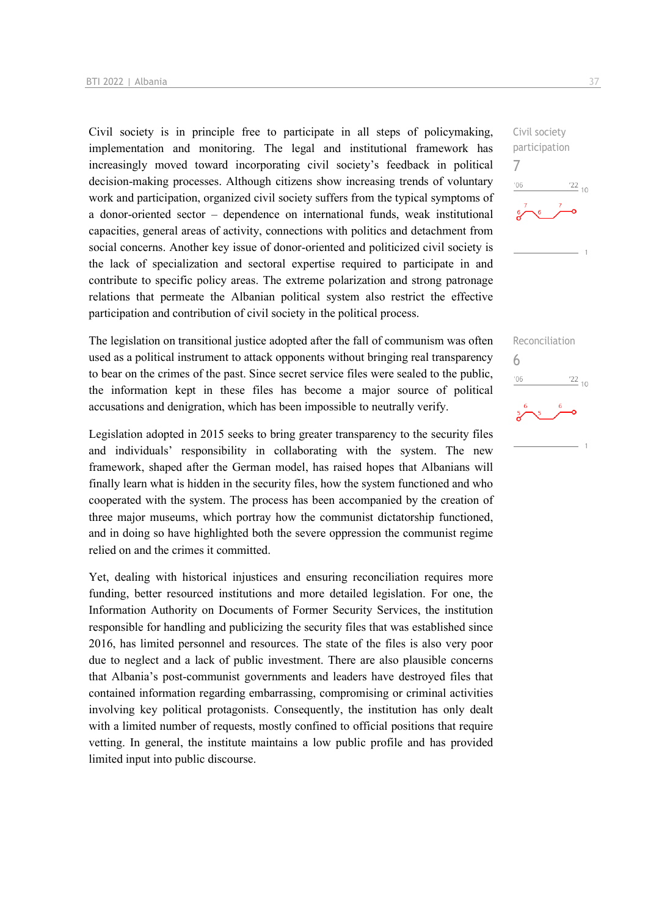Civil society is in principle free to participate in all steps of policymaking, implementation and monitoring. The legal and institutional framework has increasingly moved toward incorporating civil society's feedback in political decision-making processes. Although citizens show increasing trends of voluntary work and participation, organized civil society suffers from the typical symptoms of a donor-oriented sector – dependence on international funds, weak institutional capacities, general areas of activity, connections with politics and detachment from social concerns. Another key issue of donor-oriented and politicized civil society is the lack of specialization and sectoral expertise required to participate in and contribute to specific policy areas. The extreme polarization and strong patronage relations that permeate the Albanian political system also restrict the effective participation and contribution of civil society in the political process.

The legislation on transitional justice adopted after the fall of communism was often used as a political instrument to attack opponents without bringing real transparency to bear on the crimes of the past. Since secret service files were sealed to the public, the information kept in these files has become a major source of political accusations and denigration, which has been impossible to neutrally verify.

Legislation adopted in 2015 seeks to bring greater transparency to the security files and individuals' responsibility in collaborating with the system. The new framework, shaped after the German model, has raised hopes that Albanians will finally learn what is hidden in the security files, how the system functioned and who cooperated with the system. The process has been accompanied by the creation of three major museums, which portray how the communist dictatorship functioned, and in doing so have highlighted both the severe oppression the communist regime relied on and the crimes it committed.

Yet, dealing with historical injustices and ensuring reconciliation requires more funding, better resourced institutions and more detailed legislation. For one, the Information Authority on Documents of Former Security Services, the institution responsible for handling and publicizing the security files that was established since 2016, has limited personnel and resources. The state of the files is also very poor due to neglect and a lack of public investment. There are also plausible concerns that Albania's post-communist governments and leaders have destroyed files that contained information regarding embarrassing, compromising or criminal activities involving key political protagonists. Consequently, the institution has only dealt with a limited number of requests, mostly confined to official positions that require vetting. In general, the institute maintains a low public profile and has provided limited input into public discourse.



Reconciliation 6 $\frac{22}{10}$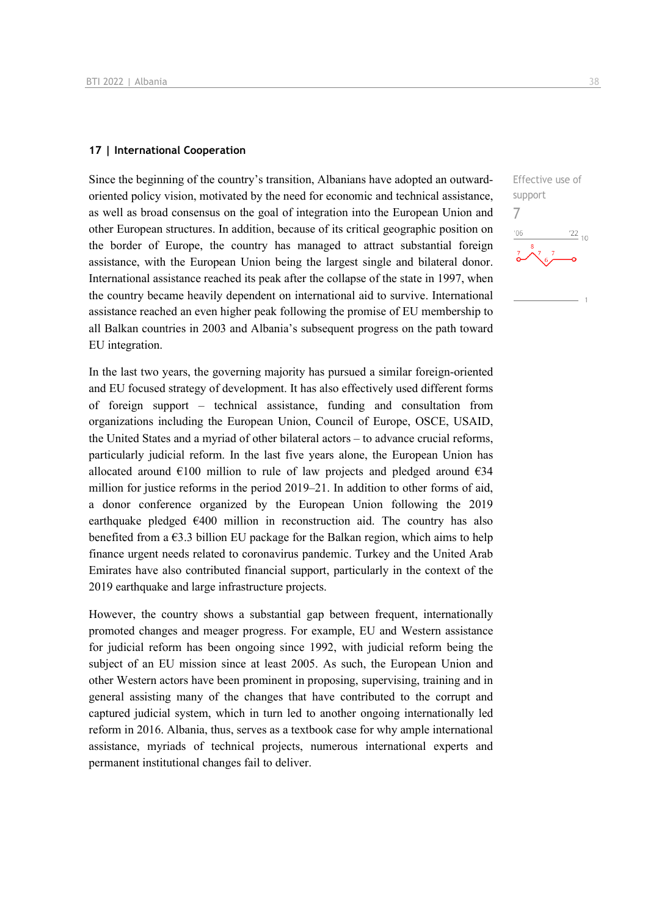#### **17 | International Cooperation**

Since the beginning of the country's transition, Albanians have adopted an outwardoriented policy vision, motivated by the need for economic and technical assistance, as well as broad consensus on the goal of integration into the European Union and other European structures. In addition, because of its critical geographic position on the border of Europe, the country has managed to attract substantial foreign assistance, with the European Union being the largest single and bilateral donor. International assistance reached its peak after the collapse of the state in 1997, when the country became heavily dependent on international aid to survive. International assistance reached an even higher peak following the promise of EU membership to all Balkan countries in 2003 and Albania's subsequent progress on the path toward EU integration.

In the last two years, the governing majority has pursued a similar foreign-oriented and EU focused strategy of development. It has also effectively used different forms of foreign support – technical assistance, funding and consultation from organizations including the European Union, Council of Europe, OSCE, USAID, the United States and a myriad of other bilateral actors – to advance crucial reforms, particularly judicial reform. In the last five years alone, the European Union has allocated around  $\epsilon$ 100 million to rule of law projects and pledged around  $\epsilon$ 34 million for justice reforms in the period 2019–21. In addition to other forms of aid, a donor conference organized by the European Union following the 2019 earthquake pledged  $€400$  million in reconstruction aid. The country has also benefited from a  $63.3$  billion EU package for the Balkan region, which aims to help finance urgent needs related to coronavirus pandemic. Turkey and the United Arab Emirates have also contributed financial support, particularly in the context of the 2019 earthquake and large infrastructure projects.

However, the country shows a substantial gap between frequent, internationally promoted changes and meager progress. For example, EU and Western assistance for judicial reform has been ongoing since 1992, with judicial reform being the subject of an EU mission since at least 2005. As such, the European Union and other Western actors have been prominent in proposing, supervising, training and in general assisting many of the changes that have contributed to the corrupt and captured judicial system, which in turn led to another ongoing internationally led reform in 2016. Albania, thus, serves as a textbook case for why ample international assistance, myriads of technical projects, numerous international experts and permanent institutional changes fail to deliver.

Effective use of support 7 $\frac{22}{10}$  $-06$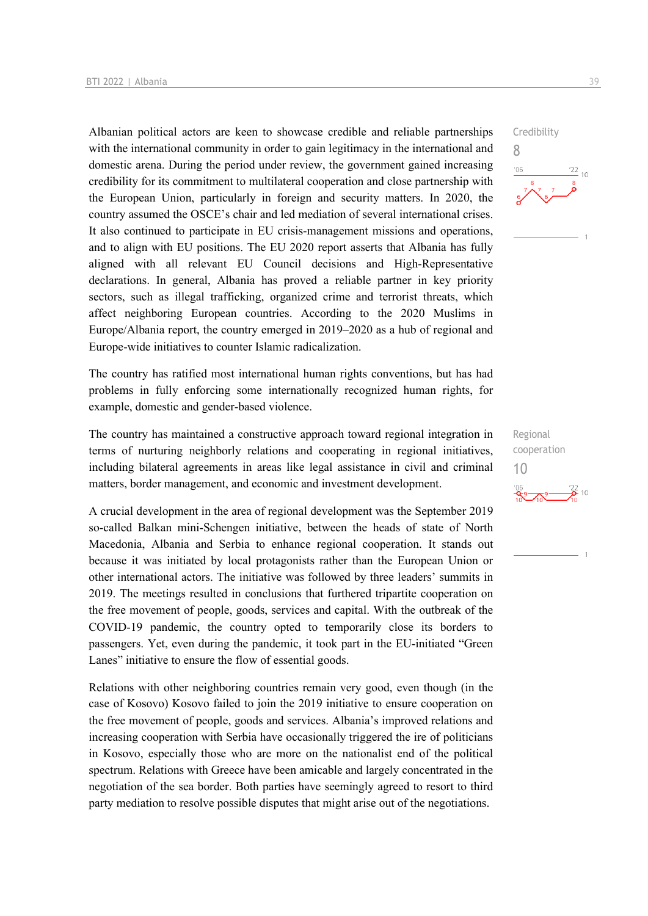Albanian political actors are keen to showcase credible and reliable partnerships with the international community in order to gain legitimacy in the international and domestic arena. During the period under review, the government gained increasing credibility for its commitment to multilateral cooperation and close partnership with the European Union, particularly in foreign and security matters. In 2020, the country assumed the OSCE's chair and led mediation of several international crises. It also continued to participate in EU crisis-management missions and operations, and to align with EU positions. The EU 2020 report asserts that Albania has fully aligned with all relevant EU Council decisions and High-Representative declarations. In general, Albania has proved a reliable partner in key priority sectors, such as illegal trafficking, organized crime and terrorist threats, which affect neighboring European countries. According to the 2020 Muslims in Europe/Albania report, the country emerged in 2019–2020 as a hub of regional and Europe-wide initiatives to counter Islamic radicalization.

The country has ratified most international human rights conventions, but has had problems in fully enforcing some internationally recognized human rights, for example, domestic and gender-based violence.

The country has maintained a constructive approach toward regional integration in terms of nurturing neighborly relations and cooperating in regional initiatives, including bilateral agreements in areas like legal assistance in civil and criminal matters, border management, and economic and investment development.

A crucial development in the area of regional development was the September 2019 so-called Balkan mini-Schengen initiative, between the heads of state of North Macedonia, Albania and Serbia to enhance regional cooperation. It stands out because it was initiated by local protagonists rather than the European Union or other international actors. The initiative was followed by three leaders' summits in 2019. The meetings resulted in conclusions that furthered tripartite cooperation on the free movement of people, goods, services and capital. With the outbreak of the COVID-19 pandemic, the country opted to temporarily close its borders to passengers. Yet, even during the pandemic, it took part in the EU-initiated "Green Lanes" initiative to ensure the flow of essential goods.

Relations with other neighboring countries remain very good, even though (in the case of Kosovo) Kosovo failed to join the 2019 initiative to ensure cooperation on the free movement of people, goods and services. Albania's improved relations and increasing cooperation with Serbia have occasionally triggered the ire of politicians in Kosovo, especially those who are more on the nationalist end of the political spectrum. Relations with Greece have been amicable and largely concentrated in the negotiation of the sea border. Both parties have seemingly agreed to resort to third party mediation to resolve possible disputes that might arise out of the negotiations.



Regional cooperation 10 $\frac{22}{2}$  10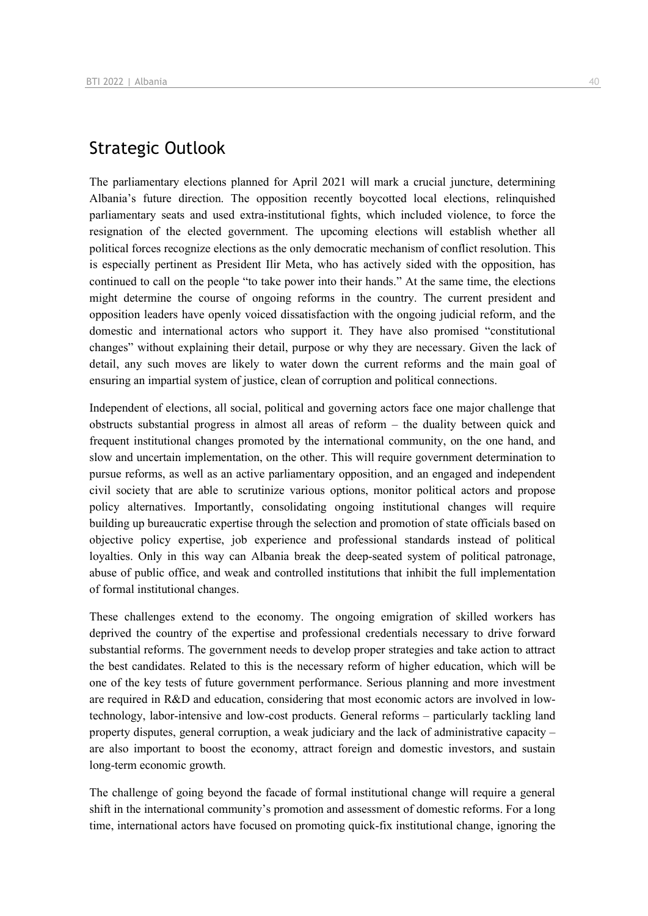## Strategic Outlook

The parliamentary elections planned for April 2021 will mark a crucial juncture, determining Albania's future direction. The opposition recently boycotted local elections, relinquished parliamentary seats and used extra-institutional fights, which included violence, to force the resignation of the elected government. The upcoming elections will establish whether all political forces recognize elections as the only democratic mechanism of conflict resolution. This is especially pertinent as President Ilir Meta, who has actively sided with the opposition, has continued to call on the people "to take power into their hands." At the same time, the elections might determine the course of ongoing reforms in the country. The current president and opposition leaders have openly voiced dissatisfaction with the ongoing judicial reform, and the domestic and international actors who support it. They have also promised "constitutional changes" without explaining their detail, purpose or why they are necessary. Given the lack of detail, any such moves are likely to water down the current reforms and the main goal of ensuring an impartial system of justice, clean of corruption and political connections.

Independent of elections, all social, political and governing actors face one major challenge that obstructs substantial progress in almost all areas of reform – the duality between quick and frequent institutional changes promoted by the international community, on the one hand, and slow and uncertain implementation, on the other. This will require government determination to pursue reforms, as well as an active parliamentary opposition, and an engaged and independent civil society that are able to scrutinize various options, monitor political actors and propose policy alternatives. Importantly, consolidating ongoing institutional changes will require building up bureaucratic expertise through the selection and promotion of state officials based on objective policy expertise, job experience and professional standards instead of political loyalties. Only in this way can Albania break the deep-seated system of political patronage, abuse of public office, and weak and controlled institutions that inhibit the full implementation of formal institutional changes.

These challenges extend to the economy. The ongoing emigration of skilled workers has deprived the country of the expertise and professional credentials necessary to drive forward substantial reforms. The government needs to develop proper strategies and take action to attract the best candidates. Related to this is the necessary reform of higher education, which will be one of the key tests of future government performance. Serious planning and more investment are required in R&D and education, considering that most economic actors are involved in lowtechnology, labor-intensive and low-cost products. General reforms – particularly tackling land property disputes, general corruption, a weak judiciary and the lack of administrative capacity – are also important to boost the economy, attract foreign and domestic investors, and sustain long-term economic growth.

The challenge of going beyond the facade of formal institutional change will require a general shift in the international community's promotion and assessment of domestic reforms. For a long time, international actors have focused on promoting quick-fix institutional change, ignoring the